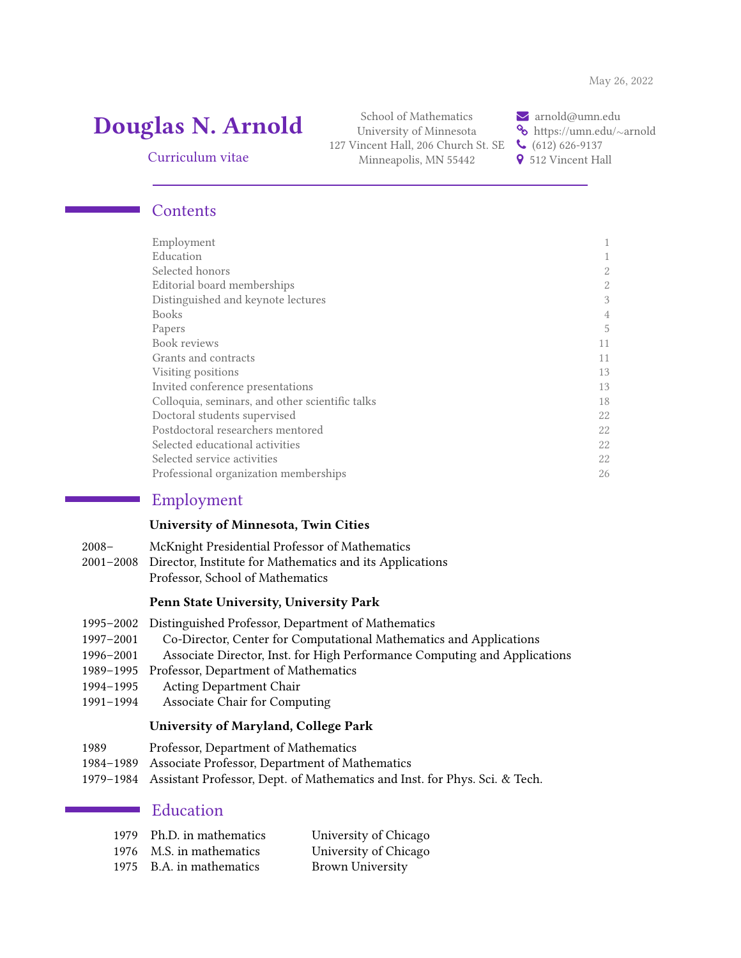# Douglas N. Arnold

127 Vincent Hall, 206 Church St. SE (612) 626-9137 Minneapolis, MN 55442 <br>
• 9 512 Vincent Hall

School of Mathematics  $\blacksquare$  arnold@umn.edu University of Minnesota **®** https://umn.edu/∼arnold

#### Curriculum vitae

#### **Contents**

| Employment                                      |                |
|-------------------------------------------------|----------------|
| Education                                       |                |
| Selected honors                                 | 2              |
| Editorial board memberships                     | $\overline{2}$ |
| Distinguished and keynote lectures              | 3              |
| <b>Books</b>                                    | 4              |
| Papers                                          | 5              |
| Book reviews                                    | 11             |
| Grants and contracts                            | 11             |
| Visiting positions                              | 13             |
| Invited conference presentations                | 13             |
| Colloquia, seminars, and other scientific talks | 18             |
| Doctoral students supervised                    | 22             |
| Postdoctoral researchers mentored               | 22             |
| Selected educational activities                 | 22             |
| Selected service activities                     | 22             |
| Professional organization memberships           |                |
|                                                 |                |

#### <span id="page-0-0"></span>Employment

#### University of Minnesota, Twin Cities

- 2008– McKnight Presidential Professor of Mathematics
- 2001–2008 Director, Institute for Mathematics and its Applications Professor, School of Mathematics

#### Penn State University, University Park

- 1995–2002 Distinguished Professor, Department of Mathematics
- 1997–2001 Co-Director, Center for Computational Mathematics and Applications
- 1996–2001 Associate Director, Inst. for High Performance Computing and Applications
- 1989–1995 Professor, Department of Mathematics
- 1994–1995 Acting Department Chair
- 1991–1994 Associate Chair for Computing

#### University of Maryland, College Park

- 1989 Professor, Department of Mathematics
- 1984–1989 Associate Professor, Department of Mathematics
- 1979–1984 Assistant Professor, Dept. of Mathematics and Inst. for Phys. Sci. & Tech.

#### <span id="page-0-1"></span>Education

| 1979 Ph.D. in mathematics | University of Chicago   |
|---------------------------|-------------------------|
| 1976 M.S. in mathematics  | University of Chicago   |
| 1975 B.A. in mathematics  | <b>Brown University</b> |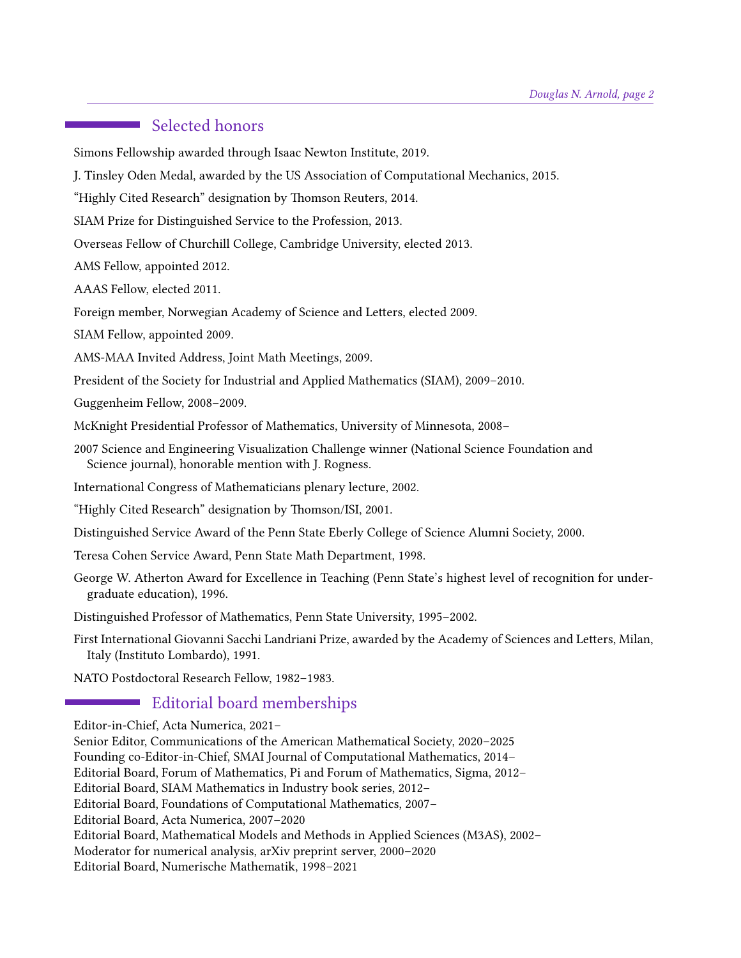## <span id="page-1-0"></span>■ Selected honors

Simons Fellowship awarded through Isaac Newton Institute, 2019.

J. Tinsley Oden Medal, awarded by the US Association of Computational Mechanics, 2015.

"Highly Cited Research" designation by Thomson Reuters, 2014.

SIAM Prize for Distinguished Service to the Profession, 2013.

Overseas Fellow of Churchill College, Cambridge University, elected 2013.

AMS Fellow, appointed 2012.

AAAS Fellow, elected 2011.

Foreign member, Norwegian Academy of Science and Letters, elected 2009.

SIAM Fellow, appointed 2009.

AMS-MAA Invited Address, Joint Math Meetings, 2009.

President of the Society for Industrial and Applied Mathematics (SIAM), 2009–2010.

Guggenheim Fellow, 2008–2009.

McKnight Presidential Professor of Mathematics, University of Minnesota, 2008–

2007 Science and Engineering Visualization Challenge winner (National Science Foundation and Science journal), honorable mention with J. Rogness.

International Congress of Mathematicians plenary lecture, 2002.

"Highly Cited Research" designation by Thomson/ISI, 2001.

Distinguished Service Award of the Penn State Eberly College of Science Alumni Society, 2000.

Teresa Cohen Service Award, Penn State Math Department, 1998.

George W. Atherton Award for Excellence in Teaching (Penn State's highest level of recognition for undergraduate education), 1996.

Distinguished Professor of Mathematics, Penn State University, 1995–2002.

First International Giovanni Sacchi Landriani Prize, awarded by the Academy of Sciences and Letters, Milan, Italy (Instituto Lombardo), 1991.

NATO Postdoctoral Research Fellow, 1982–1983.

#### <span id="page-1-1"></span>**Example 1** Editorial board memberships

Editor-in-Chief, Acta Numerica, 2021– Senior Editor, Communications of the American Mathematical Society, 2020–2025 Founding co-Editor-in-Chief, SMAI Journal of Computational Mathematics, 2014– Editorial Board, Forum of Mathematics, Pi and Forum of Mathematics, Sigma, 2012– Editorial Board, SIAM Mathematics in Industry book series, 2012– Editorial Board, Foundations of Computational Mathematics, 2007– Editorial Board, Acta Numerica, 2007–2020 Editorial Board, Mathematical Models and Methods in Applied Sciences (M3AS), 2002– Moderator for numerical analysis, arXiv preprint server, 2000–2020 Editorial Board, Numerische Mathematik, 1998–2021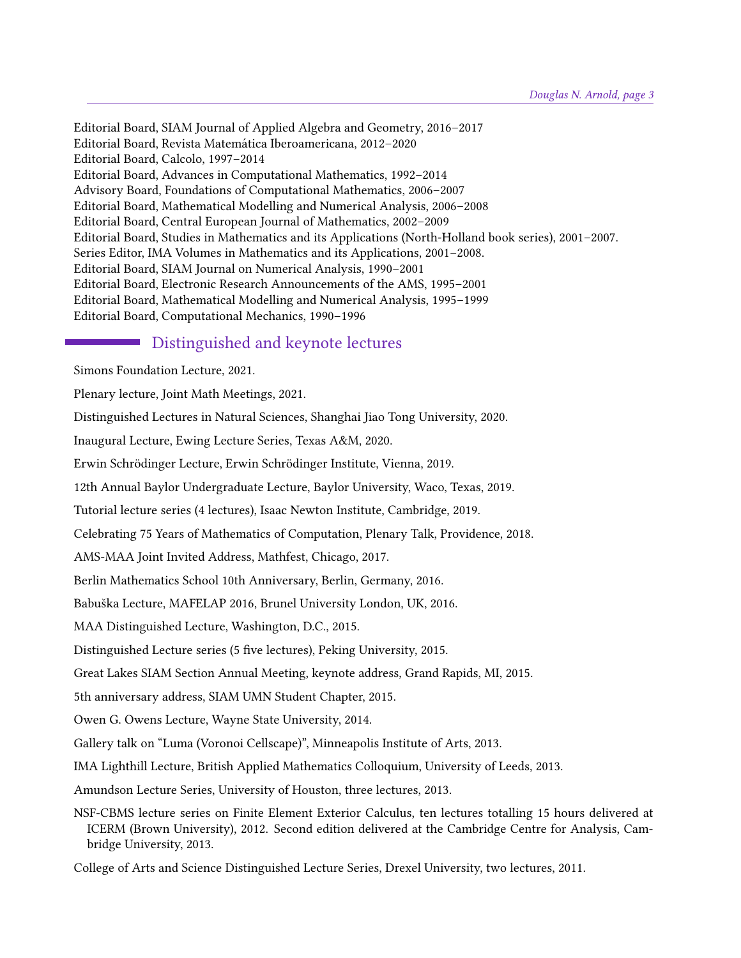Editorial Board, SIAM Journal of Applied Algebra and Geometry, 2016–2017 Editorial Board, Revista Matemática Iberoamericana, 2012-2020 Editorial Board, Calcolo, 1997–2014 Editorial Board, Advances in Computational Mathematics, 1992–2014 Advisory Board, Foundations of Computational Mathematics, 2006–2007 Editorial Board, Mathematical Modelling and Numerical Analysis, 2006–2008 Editorial Board, Central European Journal of Mathematics, 2002–2009 Editorial Board, Studies in Mathematics and its Applications (North-Holland book series), 2001–2007. Series Editor, IMA Volumes in Mathematics and its Applications, 2001–2008. Editorial Board, SIAM Journal on Numerical Analysis, 1990–2001 Editorial Board, Electronic Research Announcements of the AMS, 1995–2001 Editorial Board, Mathematical Modelling and Numerical Analysis, 1995–1999 Editorial Board, Computational Mechanics, 1990–1996

## <span id="page-2-0"></span>Distinguished and keynote lectures

Simons Foundation Lecture, 2021.

Plenary lecture, Joint Math Meetings, 2021.

Distinguished Lectures in Natural Sciences, Shanghai Jiao Tong University, 2020.

Inaugural Lecture, Ewing Lecture Series, Texas A&M, 2020.

Erwin Schrödinger Lecture, Erwin Schrödinger Institute, Vienna, 2019.

12th Annual Baylor Undergraduate Lecture, Baylor University, Waco, Texas, 2019.

Tutorial lecture series (4 lectures), Isaac Newton Institute, Cambridge, 2019.

Celebrating 75 Years of Mathematics of Computation, Plenary Talk, Providence, 2018.

AMS-MAA Joint Invited Address, Mathfest, Chicago, 2017.

Berlin Mathematics School 10th Anniversary, Berlin, Germany, 2016.

Babuška Lecture, MAFELAP 2016, Brunel University London, UK, 2016.

MAA Distinguished Lecture, Washington, D.C., 2015.

Distinguished Lecture series (5 five lectures), Peking University, 2015.

Great Lakes SIAM Section Annual Meeting, keynote address, Grand Rapids, MI, 2015.

5th anniversary address, SIAM UMN Student Chapter, 2015.

Owen G. Owens Lecture, Wayne State University, 2014.

Gallery talk on "Luma (Voronoi Cellscape)", Minneapolis Institute of Arts, 2013.

IMA Lighthill Lecture, British Applied Mathematics Colloquium, University of Leeds, 2013.

Amundson Lecture Series, University of Houston, three lectures, 2013.

NSF-CBMS lecture series on Finite Element Exterior Calculus, ten lectures totalling 15 hours delivered at ICERM (Brown University), 2012. Second edition delivered at the Cambridge Centre for Analysis, Cambridge University, 2013.

College of Arts and Science Distinguished Lecture Series, Drexel University, two lectures, 2011.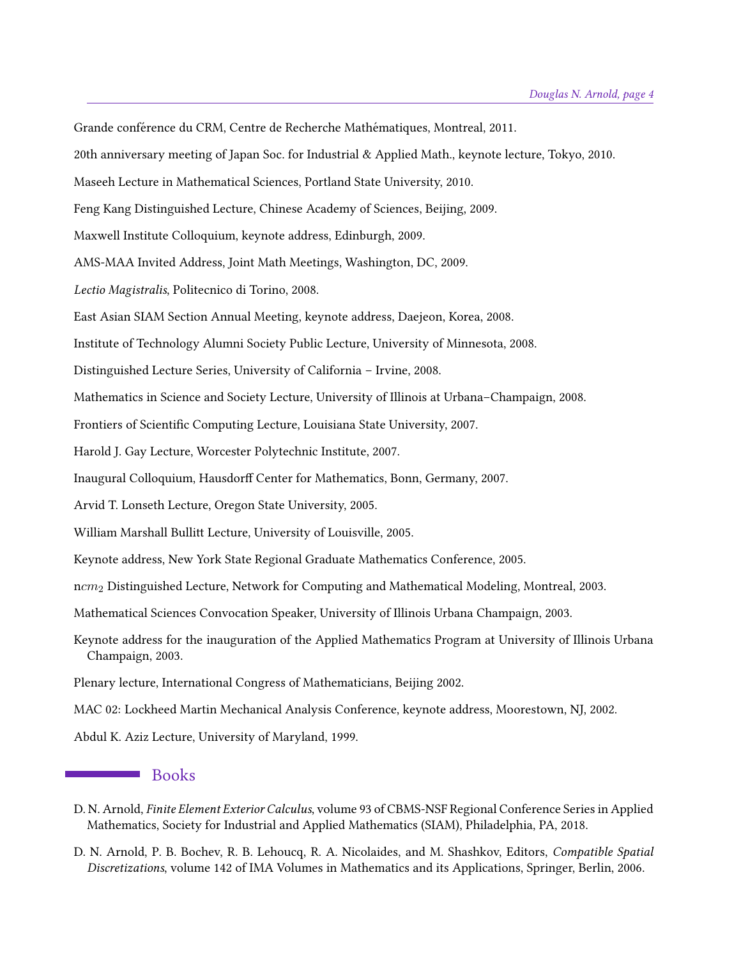Grande conférence du CRM, Centre de Recherche Mathématiques, Montreal, 2011. 20th anniversary meeting of Japan Soc. for Industrial & Applied Math., keynote lecture, Tokyo, 2010. Maseeh Lecture in Mathematical Sciences, Portland State University, 2010. Feng Kang Distinguished Lecture, Chinese Academy of Sciences, Beijing, 2009. Maxwell Institute Colloquium, keynote address, Edinburgh, 2009. AMS-MAA Invited Address, Joint Math Meetings, Washington, DC, 2009. Lectio Magistralis, Politecnico di Torino, 2008. East Asian SIAM Section Annual Meeting, keynote address, Daejeon, Korea, 2008. Institute of Technology Alumni Society Public Lecture, University of Minnesota, 2008. Distinguished Lecture Series, University of California – Irvine, 2008. Mathematics in Science and Society Lecture, University of Illinois at Urbana–Champaign, 2008. Frontiers of Scientific Computing Lecture, Louisiana State University, 2007. Harold J. Gay Lecture, Worcester Polytechnic Institute, 2007. Inaugural Colloquium, Hausdorff Center for Mathematics, Bonn, Germany, 2007. Arvid T. Lonseth Lecture, Oregon State University, 2005. William Marshall Bullitt Lecture, University of Louisville, 2005. Keynote address, New York State Regional Graduate Mathematics Conference, 2005. ncm<sub>2</sub> Distinguished Lecture, Network for Computing and Mathematical Modeling, Montreal, 2003. Mathematical Sciences Convocation Speaker, University of Illinois Urbana Champaign, 2003. Keynote address for the inauguration of the Applied Mathematics Program at University of Illinois Urbana Champaign, 2003. Plenary lecture, International Congress of Mathematicians, Beijing 2002. MAC 02: Lockheed Martin Mechanical Analysis Conference, keynote address, Moorestown, NJ, 2002.

Abdul K. Aziz Lecture, University of Maryland, 1999.

#### <span id="page-3-0"></span>Books

- D. N. Arnold, Finite Element Exterior Calculus, volume 93 of CBMS-NSF Regional Conference Series in Applied Mathematics, Society for Industrial and Applied Mathematics (SIAM), Philadelphia, PA, 2018.
- D. N. Arnold, P. B. Bochev, R. B. Lehoucq, R. A. Nicolaides, and M. Shashkov, Editors, Compatible Spatial Discretizations, volume 142 of IMA Volumes in Mathematics and its Applications, Springer, Berlin, 2006.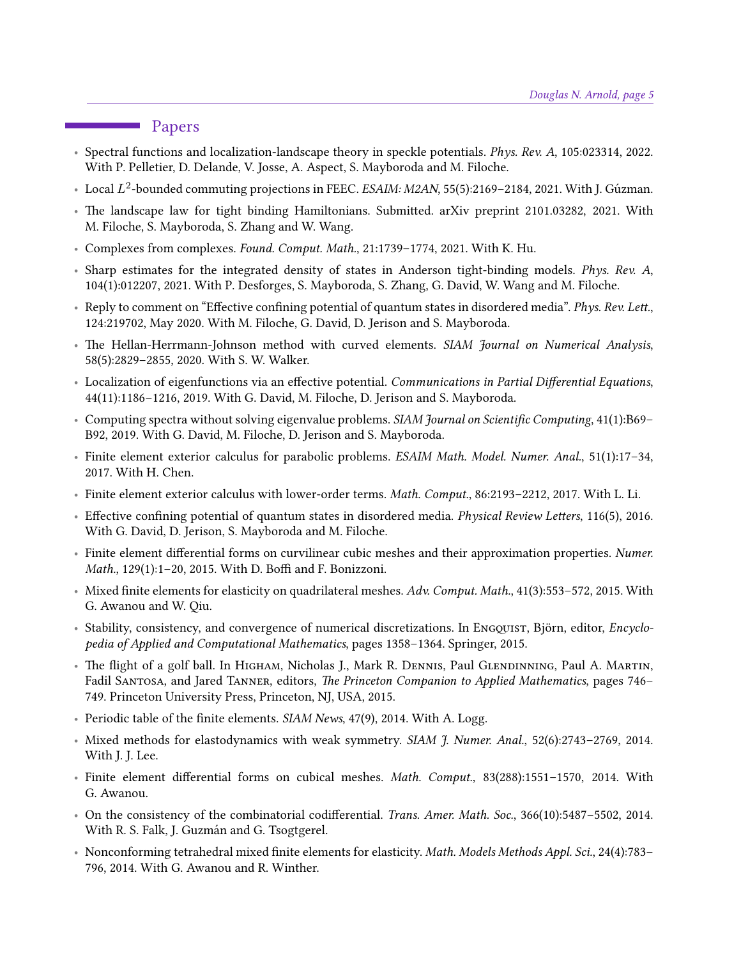#### <span id="page-4-0"></span>**Papers**

- Spectral functions and localization-landscape theory in speckle potentials. Phys. Rev. A, 105:023314, 2022. With P. Pelletier, D. Delande, V. Josse, A. Aspect, S. Mayboroda and M. Filoche.
- Local  $L^2$ -bounded commuting projections in FEEC. ESAIM: M2AN, 55(5):2169-2184, 2021. With J. Gúzman.
- The landscape law for tight binding Hamiltonians. Submitted. arXiv preprint 2101.03282, 2021. With M. Filoche, S. Mayboroda, S. Zhang and W. Wang.
- Complexes from complexes. Found. Comput. Math., 21:1739–1774, 2021. With K. Hu.
- Sharp estimates for the integrated density of states in Anderson tight-binding models. Phys. Rev. A, 104(1):012207, 2021. With P. Desforges, S. Mayboroda, S. Zhang, G. David, W. Wang and M. Filoche.
- Reply to comment on "Effective confining potential of quantum states in disordered media". Phys. Rev. Lett., 124:219702, May 2020. With M. Filoche, G. David, D. Jerison and S. Mayboroda.
- The Hellan-Herrmann-Johnson method with curved elements. SIAM Journal on Numerical Analysis, 58(5):2829–2855, 2020. With S. W. Walker.
- Localization of eigenfunctions via an effective potential. Communications in Partial Differential Equations, 44(11):1186–1216, 2019. With G. David, M. Filoche, D. Jerison and S. Mayboroda.
- Computing spectra without solving eigenvalue problems. SIAM Journal on Scientific Computing, 41(1):B69-B92, 2019. With G. David, M. Filoche, D. Jerison and S. Mayboroda.
- Finite element exterior calculus for parabolic problems. ESAIM Math. Model. Numer. Anal., 51(1):17–34, 2017. With H. Chen.
- Finite element exterior calculus with lower-order terms. Math. Comput., 86:2193–2212, 2017. With L. Li.
- Effective confining potential of quantum states in disordered media. Physical Review Letters, 116(5), 2016. With G. David, D. Jerison, S. Mayboroda and M. Filoche.
- Finite element differential forms on curvilinear cubic meshes and their approximation properties. Numer.  $Math., 129(1):1-20, 2015. With D. Boff and F. Bonizzoni.$
- Mixed finite elements for elasticity on quadrilateral meshes. Adv. Comput. Math., 41(3):553–572, 2015. With G. Awanou and W. Qiu.
- Stability, consistency, and convergence of numerical discretizations. In Engquist, Björn, editor, *Encyclo*pedia of Applied and Computational Mathematics, pages 1358–1364. Springer, 2015.
- The flight of a golf ball. In HIGHAM, Nicholas J., Mark R. DENNIS, Paul GLENDINNING, Paul A. MARTIN, Fadil SANTOSA, and Jared TANNER, editors, The Princeton Companion to Applied Mathematics, pages 746– 749. Princeton University Press, Princeton, NJ, USA, 2015.
- Periodic table of the finite elements. SIAM News, 47(9), 2014. With A. Logg.
- Mixed methods for elastodynamics with weak symmetry. SIAM J. Numer. Anal., 52(6):2743–2769, 2014. With J. J. Lee.
- Finite element differential forms on cubical meshes. Math. Comput., 83(288):1551-1570, 2014. With G. Awanou.
- On the consistency of the combinatorial codifferential. Trans. Amer. Math. Soc., 366(10):5487-5502, 2014. With R. S. Falk, J. Guzmán and G. Tsogtgerel.
- Nonconforming tetrahedral mixed finite elements for elasticity. Math. Models Methods Appl. Sci., 24(4):783-796, 2014. With G. Awanou and R. Winther.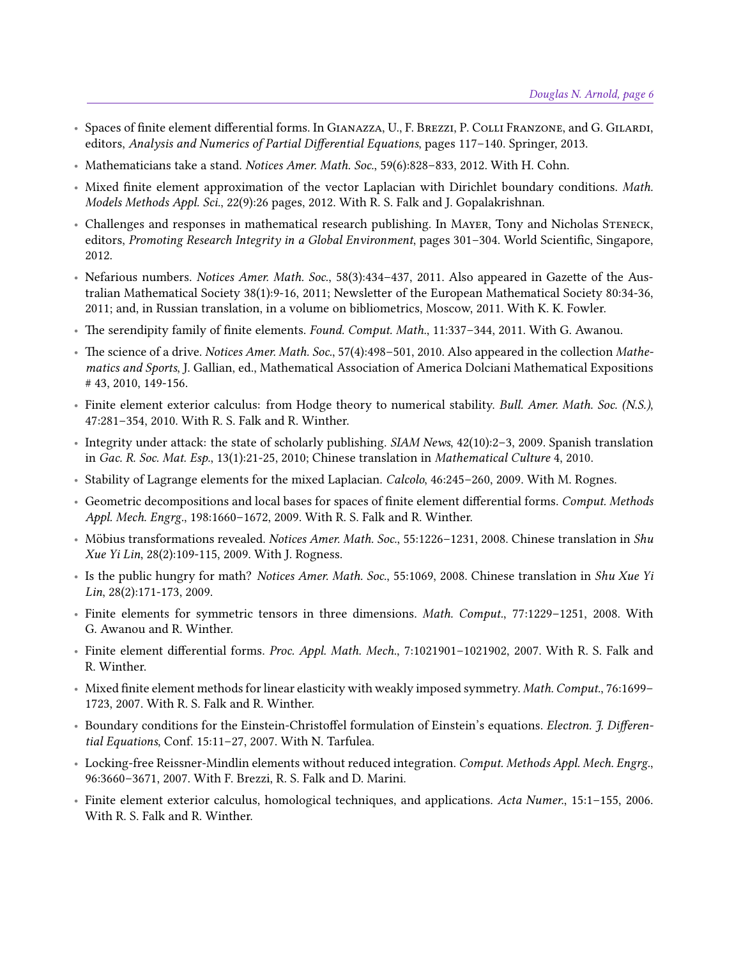- Spaces of finite element differential forms. In GIANAZZA, U., F. BREZZI, P. COLLI FRANZONE, and G. GILARDI, editors, Analysis and Numerics of Partial Differential Equations, pages 117-140. Springer, 2013.
- Mathematicians take a stand. Notices Amer. Math. Soc., 59(6):828–833, 2012. With H. Cohn.
- Mixed finite element approximation of the vector Laplacian with Dirichlet boundary conditions. Math. Models Methods Appl. Sci., 22(9):26 pages, 2012. With R. S. Falk and J. Gopalakrishnan.
- Challenges and responses in mathematical research publishing. In Mayer, Tony and Nicholas Steneck, editors, Promoting Research Integrity in a Global Environment, pages 301-304. World Scientific, Singapore, 2012.
- Nefarious numbers. Notices Amer. Math. Soc., 58(3):434-437, 2011. Also appeared in Gazette of the Australian Mathematical Society 38(1):9-16, 2011; Newsletter of the European Mathematical Society 80:34-36, 2011; and, in Russian translation, in a volume on bibliometrics, Moscow, 2011. With K. K. Fowler.
- The serendipity family of finite elements. Found. Comput. Math., 11:337-344, 2011. With G. Awanou.
- The science of a drive. Notices Amer. Math. Soc., 57(4):498-501, 2010. Also appeared in the collection Mathematics and Sports, J. Gallian, ed., Mathematical Association of America Dolciani Mathematical Expositions # 43, 2010, 149-156.
- Finite element exterior calculus: from Hodge theory to numerical stability. Bull. Amer. Math. Soc. (N.S.), 47:281–354, 2010. With R. S. Falk and R. Winther.
- Integrity under attack: the state of scholarly publishing.  $SIAM News$ ,  $42(10):2-3$ , 2009. Spanish translation in Gac. R. Soc. Mat. Esp., 13(1):21-25, 2010; Chinese translation in Mathematical Culture 4, 2010.
- Stability of Lagrange elements for the mixed Laplacian. Calcolo, 46:245–260, 2009. With M. Rognes.
- Geometric decompositions and local bases for spaces of finite element differential forms. Comput. Methods Appl. Mech. Engrg., 198:1660–1672, 2009. With R. S. Falk and R. Winther.
- Möbius transformations revealed. Notices Amer. Math. Soc., 55:1226-1231, 2008. Chinese translation in Shu Xue Yi Lin, 28(2):109-115, 2009. With J. Rogness.
- Is the public hungry for math? Notices Amer. Math. Soc., 55:1069, 2008. Chinese translation in Shu Xue Yi Lin, 28(2):171-173, 2009.
- Finite elements for symmetric tensors in three dimensions. Math. Comput., 77:1229–1251, 2008. With G. Awanou and R. Winther.
- Finite element differential forms. Proc. Appl. Math. Mech., 7:1021901-1021902, 2007. With R. S. Falk and R. Winther.
- Mixed finite element methods for linear elasticity with weakly imposed symmetry. Math. Comput., 76:1699-1723, 2007. With R. S. Falk and R. Winther.
- Boundary conditions for the Einstein-Christoffel formulation of Einstein's equations. Electron. J. Differential Equations, Conf. 15:11–27, 2007. With N. Tarfulea.
- Locking-free Reissner-Mindlin elements without reduced integration. Comput. Methods Appl. Mech. Engrg., 96:3660–3671, 2007. With F. Brezzi, R. S. Falk and D. Marini.
- Finite element exterior calculus, homological techniques, and applications. Acta Numer., 15:1–155, 2006. With R. S. Falk and R. Winther.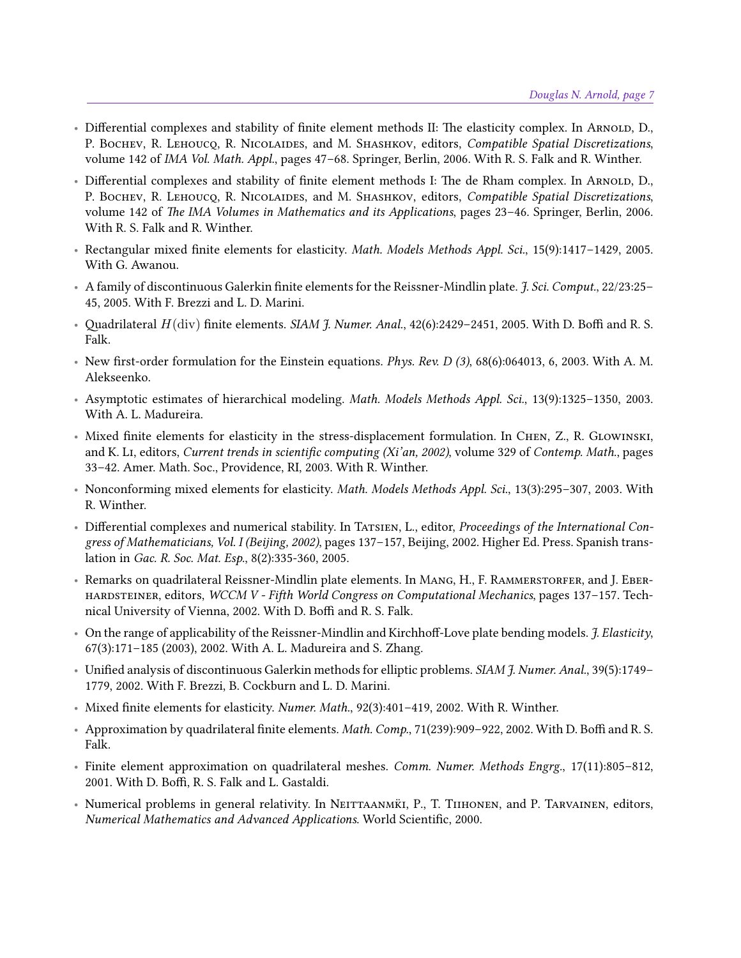- Differential complexes and stability of finite element methods II: The elasticity complex. In ARNOLD, D., P. BOCHEV, R. LEHOUCQ, R. NICOLAIDES, and M. SHASHKOV, editors, Compatible Spatial Discretizations, volume 142 of IMA Vol. Math. Appl., pages 47–68. Springer, Berlin, 2006. With R. S. Falk and R. Winther.
- Differential complexes and stability of finite element methods I: The de Rham complex. In ARNOLD, D., P. BOCHEV, R. LEHOUCQ, R. NICOLAIDES, and M. SHASHKOV, editors, Compatible Spatial Discretizations, volume 142 of The IMA Volumes in Mathematics and its Applications, pages 23-46. Springer, Berlin, 2006. With R. S. Falk and R. Winther.
- Rectangular mixed finite elements for elasticity. Math. Models Methods Appl. Sci., 15(9):1417-1429, 2005. With G. Awanou.
- A family of discontinuous Galerkin finite elements for the Reissner-Mindlin plate. J. Sci. Comput., 22/23:25– 45, 2005. With F. Brezzi and L. D. Marini.
- Quadrilateral  $H(\text{div})$  finite elements. SIAM J. Numer. Anal., 42(6):2429–2451, 2005. With D. Boffi and R. S. Falk.
- New first-order formulation for the Einstein equations. Phys. Rev. D  $(3)$ ,  $68(6):064013$ ,  $6$ , 2003. With A. M. Alekseenko.
- Asymptotic estimates of hierarchical modeling. Math. Models Methods Appl. Sci., 13(9):1325–1350, 2003. With A. L. Madureira.
- Mixed finite elements for elasticity in the stress-displacement formulation. In CHEN, Z., R. GLOWINSKI, and K. LI, editors, Current trends in scientific computing (Xi'an, 2002), volume 329 of Contemp. Math., pages 33–42. Amer. Math. Soc., Providence, RI, 2003. With R. Winther.
- Nonconforming mixed elements for elasticity. Math. Models Methods Appl. Sci., 13(3):295–307, 2003. With R. Winther.
- Differential complexes and numerical stability. In TATSIEN, L., editor, Proceedings of the International Congress of Mathematicians, Vol. I (Beijing, 2002), pages 137–157, Beijing, 2002. Higher Ed. Press. Spanish translation in Gac. R. Soc. Mat. Esp., 8(2):335-360, 2005.
- Remarks on quadrilateral Reissner-Mindlin plate elements. In Mang, H., F. Rammerstorfer, and J. Eber-HARDSTEINER, editors, WCCM V - Fifth World Congress on Computational Mechanics, pages 137-157. Technical University of Vienna, 2002. With D. Boffi and R. S. Falk.
- On the range of applicability of the Reissner-Mindlin and Kirchhoff-Love plate bending models. J. Elasticity, 67(3):171–185 (2003), 2002. With A. L. Madureira and S. Zhang.
- Unified analysis of discontinuous Galerkin methods for elliptic problems. SIAM J. Numer. Anal., 39(5):1749-1779, 2002. With F. Brezzi, B. Cockburn and L. D. Marini.
- Mixed finite elements for elasticity. Numer. Math., 92(3):401-419, 2002. With R. Winther.
- Approximation by quadrilateral finite elements. Math. Comp., 71(239):909-922, 2002. With D. Boffi and R. S. Falk.
- Finite element approximation on quadrilateral meshes. Comm. Numer. Methods Engrg., 17(11):805–812, 2001. With D. Boffi, R. S. Falk and L. Gastaldi.
- Numerical problems in general relativity. In NEITTAANMKI, P., T. TIIHONEN, and P. TARVAINEN, editors, Numerical Mathematics and Advanced Applications. World Scientific, 2000.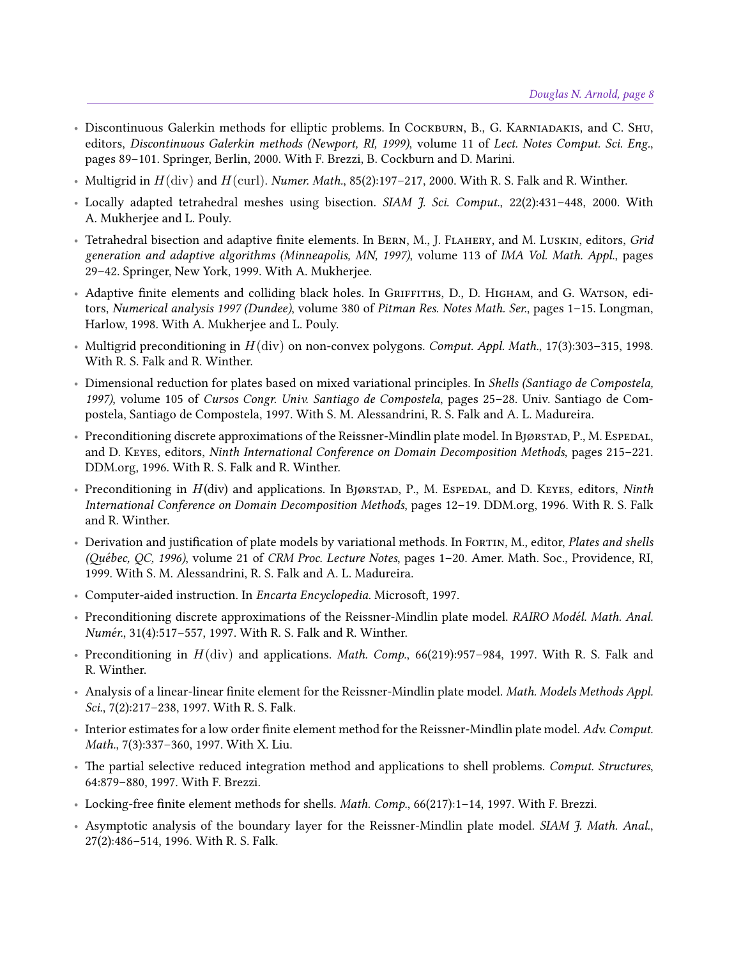- Discontinuous Galerkin methods for elliptic problems. In Cockburn, B., G. Karniadakis, and C. Shu, editors, Discontinuous Galerkin methods (Newport, RI, 1999), volume 11 of Lect. Notes Comput. Sci. Eng., pages 89–101. Springer, Berlin, 2000. With F. Brezzi, B. Cockburn and D. Marini.
- Multigrid in  $H(\text{div})$  and  $H(\text{curl})$ . Numer. Math., 85(2):197–217, 2000. With R. S. Falk and R. Winther.
- Locally adapted tetrahedral meshes using bisection. SIAM J. Sci. Comput., 22(2):431–448, 2000. With A. Mukherjee and L. Pouly.
- Tetrahedral bisection and adaptive finite elements. In BERN, M., J. FLAHERY, and M. LUSKIN, editors, Grid generation and adaptive algorithms (Minneapolis, MN, 1997), volume 113 of IMA Vol. Math. Appl., pages 29–42. Springer, New York, 1999. With A. Mukherjee.
- Adaptive finite elements and colliding black holes. In GRIFFITHS, D., D. HIGHAM, and G. WATSON, editors, Numerical analysis 1997 (Dundee), volume 380 of Pitman Res. Notes Math. Ser., pages 1-15. Longman, Harlow, 1998. With A. Mukherjee and L. Pouly.
- Multigrid preconditioning in  $H(\text{div})$  on non-convex polygons. Comput. Appl. Math., 17(3):303–315, 1998. With R. S. Falk and R. Winther.
- Dimensional reduction for plates based on mixed variational principles. In Shells (Santiago de Compostela, 1997), volume 105 of Cursos Congr. Univ. Santiago de Compostela, pages 25–28. Univ. Santiago de Compostela, Santiago de Compostela, 1997. With S. M. Alessandrini, R. S. Falk and A. L. Madureira.
- Preconditioning discrete approximations of the Reissner-Mindlin plate model. In BJørstad, P., M. Espedal, and D. Keyes, editors, Ninth International Conference on Domain Decomposition Methods, pages 215–221. DDM.org, 1996. With R. S. Falk and R. Winther.
- Preconditioning in  $H(\text{div})$  and applications. In BJØRSTAD, P., M. ESPEDAL, and D. KEYES, editors, Ninth International Conference on Domain Decomposition Methods, pages 12–19. DDM.org, 1996. With R. S. Falk and R. Winther.
- Derivation and justification of plate models by variational methods. In FORTIN, M., editor, Plates and shells (Québec, QC, 1996), volume 21 of CRM Proc. Lecture Notes, pages 1-20. Amer. Math. Soc., Providence, RI, 1999. With S. M. Alessandrini, R. S. Falk and A. L. Madureira.
- Computer-aided instruction. In Encarta Encyclopedia. Microsoft, 1997.
- Preconditioning discrete approximations of the Reissner-Mindlin plate model. RAIRO Modél. Math. Anal. Numér., 31(4):517–557, 1997. With R. S. Falk and R. Winther.
- Preconditioning in  $H(\text{div})$  and applications. *Math. Comp.*, 66(219):957–984, 1997. With R. S. Falk and R. Winther.
- Analysis of a linear-linear finite element for the Reissner-Mindlin plate model. Math. Models Methods Appl. Sci., 7(2):217–238, 1997. With R. S. Falk.
- $\bullet$  Interior estimates for a low order finite element method for the Reissner-Mindlin plate model. Adv. Comput. Math., 7(3):337–360, 1997. With X. Liu.
- The partial selective reduced integration method and applications to shell problems. Comput. Structures, 64:879–880, 1997. With F. Brezzi.
- Locking-free finite element methods for shells. Math. Comp., 66(217):1-14, 1997. With F. Brezzi.
- Asymptotic analysis of the boundary layer for the Reissner-Mindlin plate model. SIAM J. Math. Anal., 27(2):486–514, 1996. With R. S. Falk.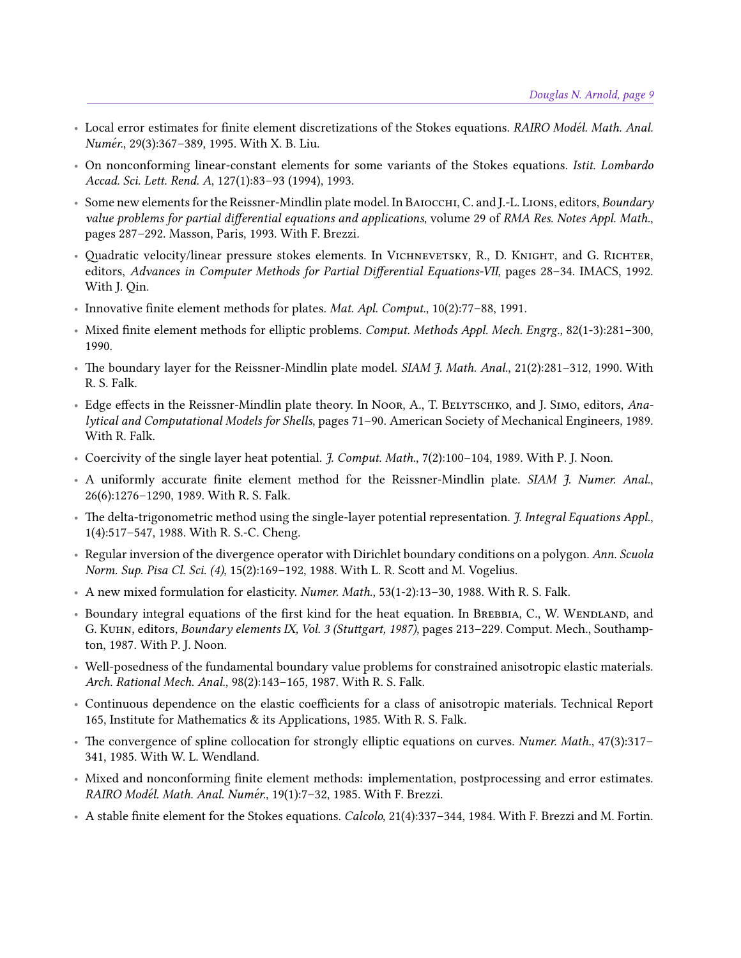- Local error estimates for finite element discretizations of the Stokes equations. RAIRO Modél. Math. Anal. Numér., 29(3):367-389, 1995. With X. B. Liu.
- On nonconforming linear-constant elements for some variants of the Stokes equations. Istit. Lombardo Accad. Sci. Lett. Rend. A, 127(1):83-93 (1994), 1993.
- Some new elements for the Reissner-Mindlin plate model. In BAIOCCHI, C. and J.-L. LIONS, editors, Boundary value problems for partial differential equations and applications, volume 29 of RMA Res. Notes Appl. Math., pages 287–292. Masson, Paris, 1993. With F. Brezzi.
- Quadratic velocity/linear pressure stokes elements. In VICHNEVETSKY, R., D. KNIGHT, and G. RICHTER, editors, Advances in Computer Methods for Partial Differential Equations-VII, pages 28-34. IMACS, 1992. With J. Qin.
- Innovative finite element methods for plates. Mat. Apl. Comput., 10(2):77-88, 1991.
- Mixed finite element methods for elliptic problems. Comput. Methods Appl. Mech. Engrg., 82(1-3):281-300, 1990.
- The boundary layer for the Reissner-Mindlin plate model. SIAM  $\tilde{I}$ . Math. Anal., 21(2):281–312, 1990. With R. S. Falk.
- Edge effects in the Reissner-Mindlin plate theory. In Noor, A., T. BELYTSCHKO, and J. SIMO, editors, Analytical and Computational Models for Shells, pages 71–90. American Society of Mechanical Engineers, 1989. With R. Falk.
- Coercivity of the single layer heat potential. J. Comput. Math., 7(2):100–104, 1989. With P. J. Noon.
- A uniformly accurate finite element method for the Reissner-Mindlin plate. SIAM J. Numer. Anal., 26(6):1276–1290, 1989. With R. S. Falk.
- The delta-trigonometric method using the single-layer potential representation. *J. Integral Equations Appl.*, 1(4):517–547, 1988. With R. S.-C. Cheng.
- Regular inversion of the divergence operator with Dirichlet boundary conditions on a polygon. Ann. Scuola Norm. Sup. Pisa Cl. Sci. (4), 15(2):169-192, 1988. With L. R. Scott and M. Vogelius.
- A new mixed formulation for elasticity. Numer. Math., 53(1-2):13–30, 1988. With R. S. Falk.
- Boundary integral equations of the first kind for the heat equation. In BREBBIA, C., W. WENDLAND, and G. KUHN, editors, Boundary elements IX, Vol. 3 (Stuttgart, 1987), pages 213-229. Comput. Mech., Southampton, 1987. With P. J. Noon.
- Well-posedness of the fundamental boundary value problems for constrained anisotropic elastic materials. Arch. Rational Mech. Anal., 98(2):143–165, 1987. With R. S. Falk.
- Continuous dependence on the elastic coefficients for a class of anisotropic materials. Technical Report 165, Institute for Mathematics & its Applications, 1985. With R. S. Falk.
- The convergence of spline collocation for strongly elliptic equations on curves. Numer. Math., 47(3):317-341, 1985. With W. L. Wendland.
- Mixed and nonconforming finite element methods: implementation, postprocessing and error estimates. RAIRO Modél. Math. Anal. Numér., 19(1):7-32, 1985. With F. Brezzi.
- A stable finite element for the Stokes equations. Calcolo, 21(4):337-344, 1984. With F. Brezzi and M. Fortin.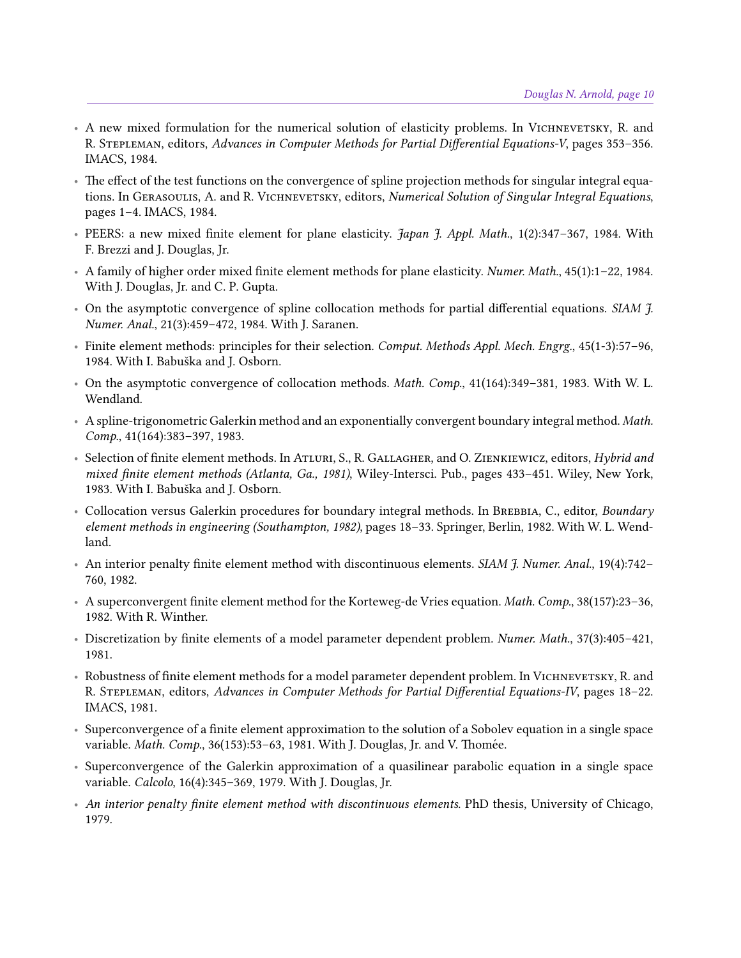- A new mixed formulation for the numerical solution of elasticity problems. In VICHNEVETSKY, R. and R. STEPLEMAN, editors, Advances in Computer Methods for Partial Differential Equations-V, pages 353-356. IMACS, 1984.
- The effect of the test functions on the convergence of spline projection methods for singular integral equations. In GERASOULIS, A. and R. VICHNEVETSKY, editors, Numerical Solution of Singular Integral Equations, pages 1–4. IMACS, 1984.
- PEERS: a new mixed finite element for plane elasticity. *Japan J. Appl. Math.*, 1(2):347–367, 1984. With F. Brezzi and J. Douglas, Jr.
- A family of higher order mixed finite element methods for plane elasticity. Numer. Math., 45(1):1-22, 1984. With J. Douglas, Jr. and C. P. Gupta.
- On the asymptotic convergence of spline collocation methods for partial differential equations. SIAM  $\tilde{f}$ . Numer. Anal., 21(3):459–472, 1984. With J. Saranen.
- Finite element methods: principles for their selection. Comput. Methods Appl. Mech. Engrg., 45(1-3):57–96, 1984. With I. Babuška and I. Osborn.
- On the asymptotic convergence of collocation methods. Math. Comp., 41(164):349–381, 1983. With W. L. Wendland.
- A spline-trigonometric Galerkin method and an exponentially convergent boundary integral method. Math. Comp., 41(164):383–397, 1983.
- Selection of finite element methods. In ATLURI, S., R. GALLAGHER, and O. ZIENKIEWICZ, editors, *Hybrid and* mixed finite element methods (Atlanta, Ga., 1981), Wiley-Intersci. Pub., pages 433-451. Wiley, New York, 1983. With I. Babuška and J. Osborn.
- Collocation versus Galerkin procedures for boundary integral methods. In BREBBIA, C., editor, Boundary element methods in engineering (Southampton, 1982), pages 18–33. Springer, Berlin, 1982. With W. L. Wendland.
- An interior penalty finite element method with discontinuous elements. SIAM J. Numer. Anal., 19(4):742– 760, 1982.
- A superconvergent finite element method for the Korteweg-de Vries equation. *Math. Comp.*, 38(157):23-36, 1982. With R. Winther.
- Discretization by finite elements of a model parameter dependent problem. Numer. Math., 37(3):405-421, 1981.
- Robustness of finite element methods for a model parameter dependent problem. In VICHNEVETSKY, R. and R. STEPLEMAN, editors, Advances in Computer Methods for Partial Differential Equations-IV, pages 18-22. IMACS, 1981.
- Superconvergence of a nite element approximation to the solution of a Sobolev equation in a single space variable. Math. Comp., 36(153):53-63, 1981. With J. Douglas, Jr. and V. Thomée.
- Superconvergence of the Galerkin approximation of a quasilinear parabolic equation in a single space variable. Calcolo, 16(4):345–369, 1979. With J. Douglas, Jr.
- An interior penalty finite element method with discontinuous elements. PhD thesis, University of Chicago, 1979.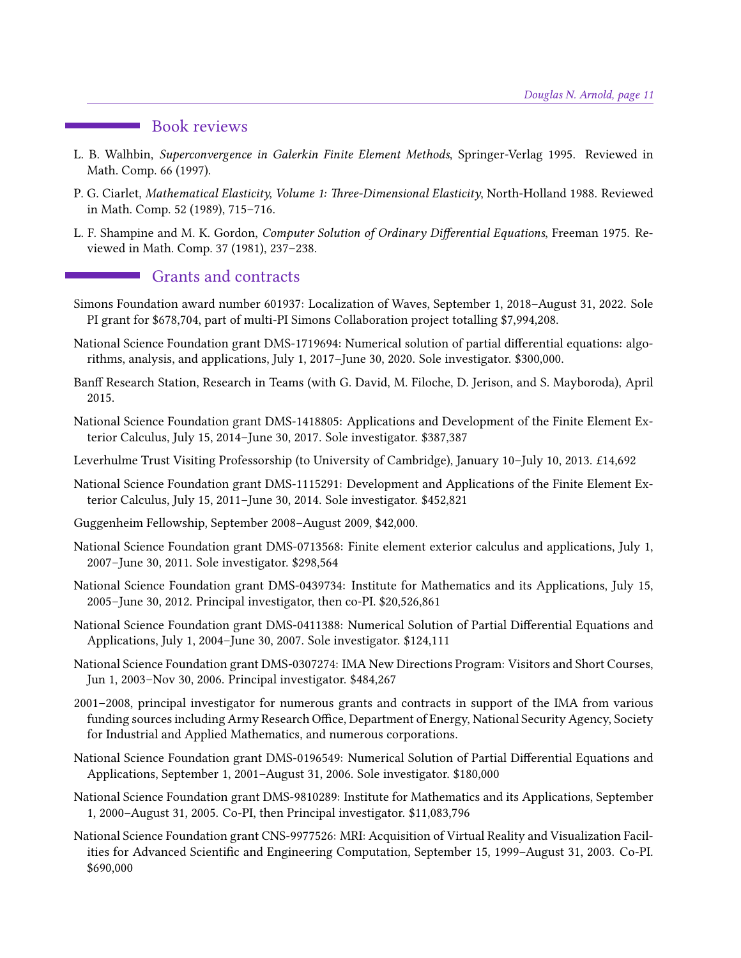#### <span id="page-10-0"></span>■ Book reviews

- L. B. Walhbin, Superconvergence in Galerkin Finite Element Methods, Springer-Verlag 1995. Reviewed in Math. Comp. 66 (1997).
- P. G. Ciarlet, Mathematical Elasticity, Volume 1: Three-Dimensional Elasticity, North-Holland 1988. Reviewed in Math. Comp. 52 (1989), 715–716.
- L. F. Shampine and M. K. Gordon, Computer Solution of Ordinary Differential Equations, Freeman 1975. Reviewed in Math. Comp. 37 (1981), 237–238.

## <span id="page-10-1"></span>Grants and contracts

- Simons Foundation award number 601937: Localization of Waves, September 1, 2018–August 31, 2022. Sole PI grant for \$678,704, part of multi-PI Simons Collaboration project totalling \$7,994,208.
- National Science Foundation grant DMS-1719694: Numerical solution of partial differential equations: algorithms, analysis, and applications, July 1, 2017–June 30, 2020. Sole investigator. \$300,000.
- Banff Research Station, Research in Teams (with G. David, M. Filoche, D. Jerison, and S. Mayboroda), April 2015.
- National Science Foundation grant DMS-1418805: Applications and Development of the Finite Element Exterior Calculus, July 15, 2014–June 30, 2017. Sole investigator. \$387,387
- Leverhulme Trust Visiting Professorship (to University of Cambridge), January 10–July 10, 2013. £14,692
- National Science Foundation grant DMS-1115291: Development and Applications of the Finite Element Exterior Calculus, July 15, 2011–June 30, 2014. Sole investigator. \$452,821
- Guggenheim Fellowship, September 2008–August 2009, \$42,000.
- National Science Foundation grant DMS-0713568: Finite element exterior calculus and applications, July 1, 2007–June 30, 2011. Sole investigator. \$298,564
- National Science Foundation grant DMS-0439734: Institute for Mathematics and its Applications, July 15, 2005–June 30, 2012. Principal investigator, then co-PI. \$20,526,861
- National Science Foundation grant DMS-0411388: Numerical Solution of Partial Differential Equations and Applications, July 1, 2004–June 30, 2007. Sole investigator. \$124,111
- National Science Foundation grant DMS-0307274: IMA New Directions Program: Visitors and Short Courses, Jun 1, 2003–Nov 30, 2006. Principal investigator. \$484,267
- 2001–2008, principal investigator for numerous grants and contracts in support of the IMA from various funding sources including Army Research Office, Department of Energy, National Security Agency, Society for Industrial and Applied Mathematics, and numerous corporations.
- National Science Foundation grant DMS-0196549: Numerical Solution of Partial Differential Equations and Applications, September 1, 2001–August 31, 2006. Sole investigator. \$180,000
- National Science Foundation grant DMS-9810289: Institute for Mathematics and its Applications, September 1, 2000–August 31, 2005. Co-PI, then Principal investigator. \$11,083,796
- National Science Foundation grant CNS-9977526: MRI: Acquisition of Virtual Reality and Visualization Facilities for Advanced Scientific and Engineering Computation, September 15, 1999–August 31, 2003. Co-PI. \$690,000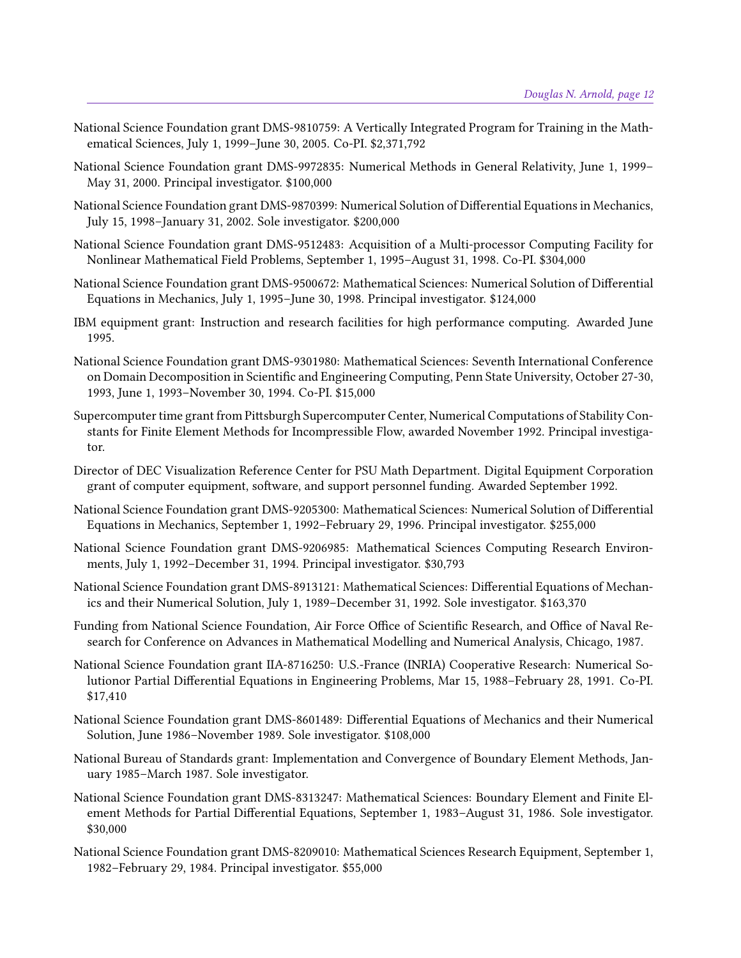- National Science Foundation grant DMS-9810759: A Vertically Integrated Program for Training in the Mathematical Sciences, July 1, 1999–June 30, 2005. Co-PI. \$2,371,792
- National Science Foundation grant DMS-9972835: Numerical Methods in General Relativity, June 1, 1999– May 31, 2000. Principal investigator. \$100,000
- National Science Foundation grant DMS-9870399: Numerical Solution of Differential Equations in Mechanics, July 15, 1998–January 31, 2002. Sole investigator. \$200,000
- National Science Foundation grant DMS-9512483: Acquisition of a Multi-processor Computing Facility for Nonlinear Mathematical Field Problems, September 1, 1995–August 31, 1998. Co-PI. \$304,000
- National Science Foundation grant DMS-9500672: Mathematical Sciences: Numerical Solution of Differential Equations in Mechanics, July 1, 1995–June 30, 1998. Principal investigator. \$124,000
- IBM equipment grant: Instruction and research facilities for high performance computing. Awarded June 1995.
- National Science Foundation grant DMS-9301980: Mathematical Sciences: Seventh International Conference on Domain Decomposition in Scientific and Engineering Computing, Penn State University, October 27-30, 1993, June 1, 1993–November 30, 1994. Co-PI. \$15,000
- Supercomputer time grant from Pittsburgh Supercomputer Center, Numerical Computations of Stability Constants for Finite Element Methods for Incompressible Flow, awarded November 1992. Principal investigator.
- Director of DEC Visualization Reference Center for PSU Math Department. Digital Equipment Corporation grant of computer equipment, software, and support personnel funding. Awarded September 1992.
- National Science Foundation grant DMS-9205300: Mathematical Sciences: Numerical Solution of Differential Equations in Mechanics, September 1, 1992–February 29, 1996. Principal investigator. \$255,000
- National Science Foundation grant DMS-9206985: Mathematical Sciences Computing Research Environments, July 1, 1992–December 31, 1994. Principal investigator. \$30,793
- National Science Foundation grant DMS-8913121: Mathematical Sciences: Differential Equations of Mechanics and their Numerical Solution, July 1, 1989–December 31, 1992. Sole investigator. \$163,370
- Funding from National Science Foundation, Air Force Office of Scientific Research, and Office of Naval Research for Conference on Advances in Mathematical Modelling and Numerical Analysis, Chicago, 1987.
- National Science Foundation grant IIA-8716250: U.S.-France (INRIA) Cooperative Research: Numerical Solutionor Partial Differential Equations in Engineering Problems, Mar 15, 1988–February 28, 1991. Co-PI. \$17,410
- National Science Foundation grant DMS-8601489: Differential Equations of Mechanics and their Numerical Solution, June 1986–November 1989. Sole investigator. \$108,000
- National Bureau of Standards grant: Implementation and Convergence of Boundary Element Methods, January 1985–March 1987. Sole investigator.
- National Science Foundation grant DMS-8313247: Mathematical Sciences: Boundary Element and Finite Element Methods for Partial Differential Equations, September 1, 1983–August 31, 1986. Sole investigator. \$30,000
- National Science Foundation grant DMS-8209010: Mathematical Sciences Research Equipment, September 1, 1982–February 29, 1984. Principal investigator. \$55,000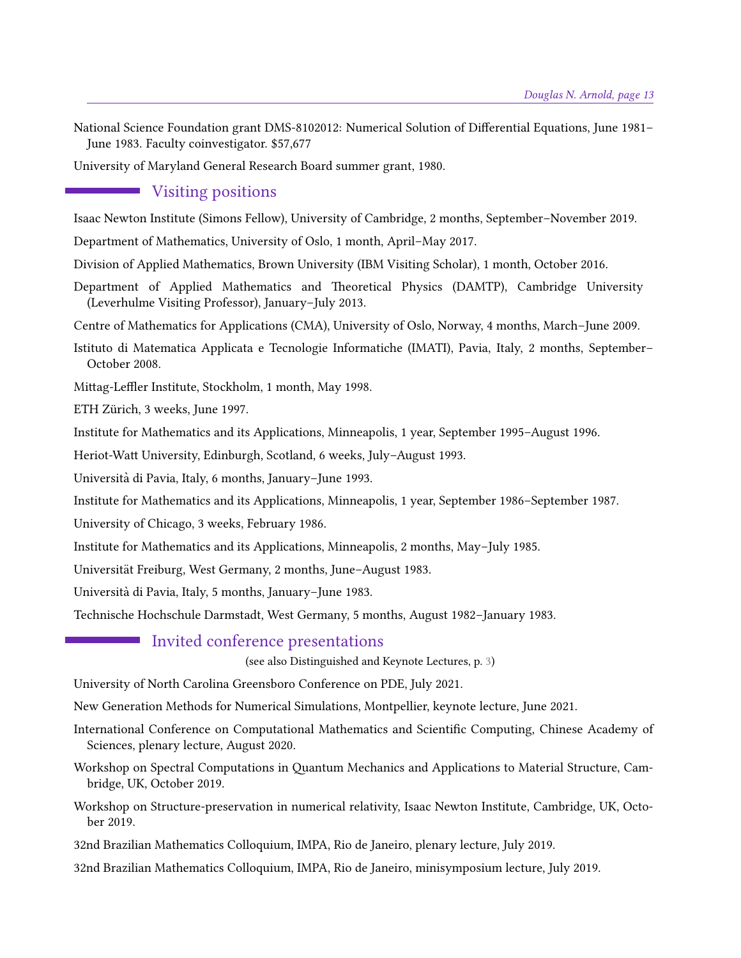National Science Foundation grant DMS-8102012: Numerical Solution of Differential Equations, June 1981– June 1983. Faculty coinvestigator. \$57,677

University of Maryland General Research Board summer grant, 1980.

## <span id="page-12-0"></span>**Visiting positions**

Isaac Newton Institute (Simons Fellow), University of Cambridge, 2 months, September–November 2019.

Department of Mathematics, University of Oslo, 1 month, April–May 2017.

- Division of Applied Mathematics, Brown University (IBM Visiting Scholar), 1 month, October 2016.
- Department of Applied Mathematics and Theoretical Physics (DAMTP), Cambridge University (Leverhulme Visiting Professor), January–July 2013.

Centre of Mathematics for Applications (CMA), University of Oslo, Norway, 4 months, March–June 2009.

Istituto di Matematica Applicata e Tecnologie Informatiche (IMATI), Pavia, Italy, 2 months, September– October 2008.

Mittag-Leffler Institute, Stockholm, 1 month, May 1998.

ETH Zürich, 3 weeks, June 1997.

Institute for Mathematics and its Applications, Minneapolis, 1 year, September 1995–August 1996.

Heriot-Watt University, Edinburgh, Scotland, 6 weeks, July-August 1993.

Universita di Pavia, Italy, 6 months, January–June 1993. `

Institute for Mathematics and its Applications, Minneapolis, 1 year, September 1986–September 1987.

University of Chicago, 3 weeks, February 1986.

Institute for Mathematics and its Applications, Minneapolis, 2 months, May–July 1985.

Universitat Freiburg, West Germany, 2 months, June–August 1983. ¨

Universita di Pavia, Italy, 5 months, January–June 1983. `

Technische Hochschule Darmstadt, West Germany, 5 months, August 1982–January 1983.

#### Invited conference presentations

<span id="page-12-1"></span>(see also Distinguished and Keynote Lectures, p. [3\)](#page-2-0)

University of North Carolina Greensboro Conference on PDE, July 2021.

New Generation Methods for Numerical Simulations, Montpellier, keynote lecture, June 2021.

- International Conference on Computational Mathematics and Scientific Computing, Chinese Academy of Sciences, plenary lecture, August 2020.
- Workshop on Spectral Computations in Quantum Mechanics and Applications to Material Structure, Cambridge, UK, October 2019.
- Workshop on Structure-preservation in numerical relativity, Isaac Newton Institute, Cambridge, UK, October 2019.
- 32nd Brazilian Mathematics Colloquium, IMPA, Rio de Janeiro, plenary lecture, July 2019.

32nd Brazilian Mathematics Colloquium, IMPA, Rio de Janeiro, minisymposium lecture, July 2019.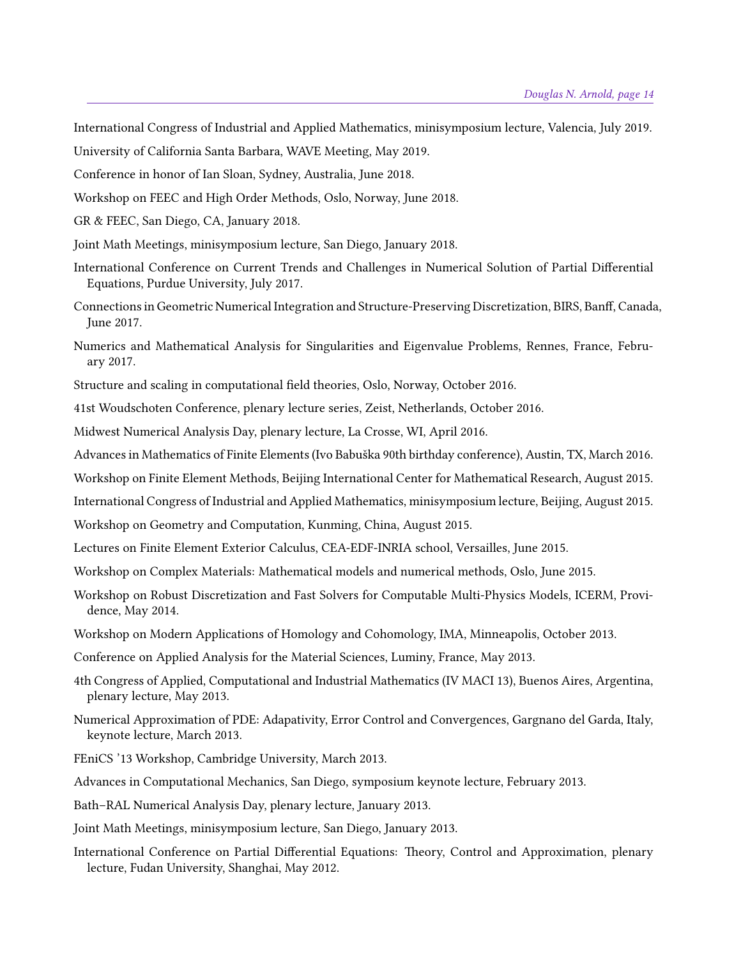- International Congress of Industrial and Applied Mathematics, minisymposium lecture, Valencia, July 2019.
- University of California Santa Barbara, WAVE Meeting, May 2019.
- Conference in honor of Ian Sloan, Sydney, Australia, June 2018.
- Workshop on FEEC and High Order Methods, Oslo, Norway, June 2018.
- GR & FEEC, San Diego, CA, January 2018.
- Joint Math Meetings, minisymposium lecture, San Diego, January 2018.
- International Conference on Current Trends and Challenges in Numerical Solution of Partial Differential Equations, Purdue University, July 2017.
- Connections in Geometric Numerical Integration and Structure-Preserving Discretization, BIRS, Banff, Canada, June 2017.
- Numerics and Mathematical Analysis for Singularities and Eigenvalue Problems, Rennes, France, February 2017.
- Structure and scaling in computational field theories, Oslo, Norway, October 2016.
- 41st Woudschoten Conference, plenary lecture series, Zeist, Netherlands, October 2016.
- Midwest Numerical Analysis Day, plenary lecture, La Crosse, WI, April 2016.
- Advances in Mathematics of Finite Elements (Ivo Babuška 90th birthday conference), Austin, TX, March 2016.
- Workshop on Finite Element Methods, Beijing International Center for Mathematical Research, August 2015.
- International Congress of Industrial and Applied Mathematics, minisymposium lecture, Beijing, August 2015.
- Workshop on Geometry and Computation, Kunming, China, August 2015.
- Lectures on Finite Element Exterior Calculus, CEA-EDF-INRIA school, Versailles, June 2015.
- Workshop on Complex Materials: Mathematical models and numerical methods, Oslo, June 2015.
- Workshop on Robust Discretization and Fast Solvers for Computable Multi-Physics Models, ICERM, Providence, May 2014.
- Workshop on Modern Applications of Homology and Cohomology, IMA, Minneapolis, October 2013.
- Conference on Applied Analysis for the Material Sciences, Luminy, France, May 2013.
- 4th Congress of Applied, Computational and Industrial Mathematics (IV MACI 13), Buenos Aires, Argentina, plenary lecture, May 2013.
- Numerical Approximation of PDE: Adapativity, Error Control and Convergences, Gargnano del Garda, Italy, keynote lecture, March 2013.
- FEniCS '13 Workshop, Cambridge University, March 2013.
- Advances in Computational Mechanics, San Diego, symposium keynote lecture, February 2013.
- Bath–RAL Numerical Analysis Day, plenary lecture, January 2013.
- Joint Math Meetings, minisymposium lecture, San Diego, January 2013.
- International Conference on Partial Differential Equations: Theory, Control and Approximation, plenary lecture, Fudan University, Shanghai, May 2012.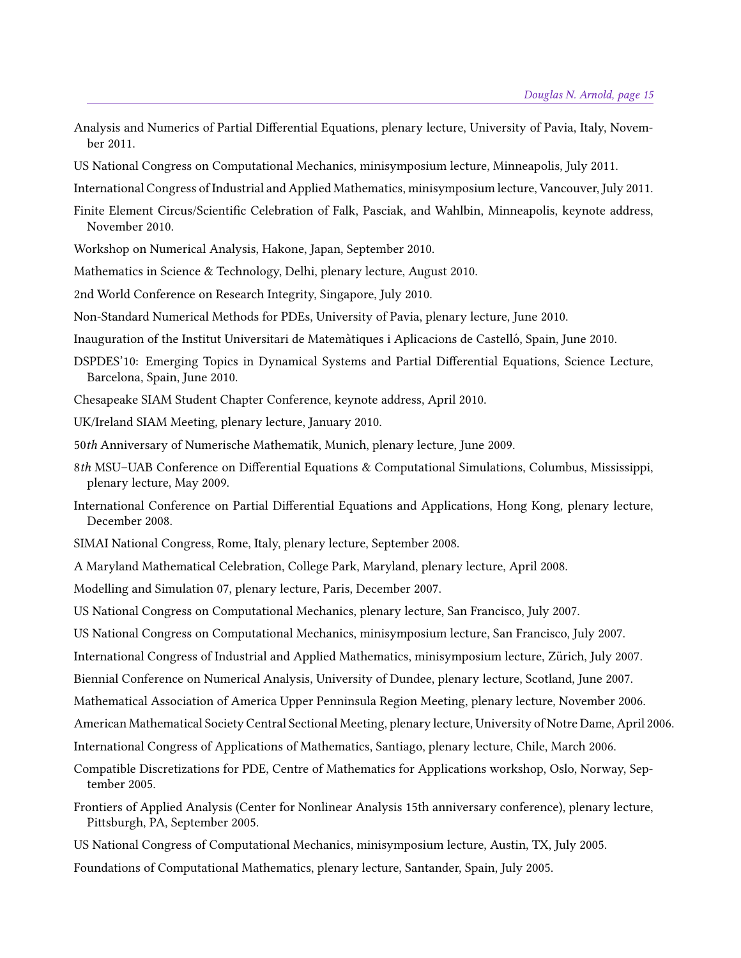- Analysis and Numerics of Partial Differential Equations, plenary lecture, University of Pavia, Italy, November 2011.
- US National Congress on Computational Mechanics, minisymposium lecture, Minneapolis, July 2011.

International Congress of Industrial and Applied Mathematics, minisymposium lecture, Vancouver, July 2011.

- Finite Element Circus/Scientific Celebration of Falk, Pasciak, and Wahlbin, Minneapolis, keynote address, November 2010.
- Workshop on Numerical Analysis, Hakone, Japan, September 2010.
- Mathematics in Science & Technology, Delhi, plenary lecture, August 2010.
- 2nd World Conference on Research Integrity, Singapore, July 2010.
- Non-Standard Numerical Methods for PDEs, University of Pavia, plenary lecture, June 2010.
- Inauguration of the Institut Universitari de Matemàtiques i Aplicacions de Castelló, Spain, June 2010.
- DSPDES'10: Emerging Topics in Dynamical Systems and Partial Differential Equations, Science Lecture, Barcelona, Spain, June 2010.
- Chesapeake SIAM Student Chapter Conference, keynote address, April 2010.
- UK/Ireland SIAM Meeting, plenary lecture, January 2010.
- 50th Anniversary of Numerische Mathematik, Munich, plenary lecture, June 2009.
- 8th MSU–UAB Conference on Differential Equations & Computational Simulations, Columbus, Mississippi, plenary lecture, May 2009.
- International Conference on Partial Differential Equations and Applications, Hong Kong, plenary lecture, December 2008.
- SIMAI National Congress, Rome, Italy, plenary lecture, September 2008.
- A Maryland Mathematical Celebration, College Park, Maryland, plenary lecture, April 2008.
- Modelling and Simulation 07, plenary lecture, Paris, December 2007.
- US National Congress on Computational Mechanics, plenary lecture, San Francisco, July 2007.
- US National Congress on Computational Mechanics, minisymposium lecture, San Francisco, July 2007.
- International Congress of Industrial and Applied Mathematics, minisymposium lecture, Zürich, July 2007.
- Biennial Conference on Numerical Analysis, University of Dundee, plenary lecture, Scotland, June 2007.
- Mathematical Association of America Upper Penninsula Region Meeting, plenary lecture, November 2006.
- American Mathematical Society Central Sectional Meeting, plenary lecture, University of Notre Dame, April 2006.
- International Congress of Applications of Mathematics, Santiago, plenary lecture, Chile, March 2006.
- Compatible Discretizations for PDE, Centre of Mathematics for Applications workshop, Oslo, Norway, September 2005.
- Frontiers of Applied Analysis (Center for Nonlinear Analysis 15th anniversary conference), plenary lecture, Pittsburgh, PA, September 2005.
- US National Congress of Computational Mechanics, minisymposium lecture, Austin, TX, July 2005.
- Foundations of Computational Mathematics, plenary lecture, Santander, Spain, July 2005.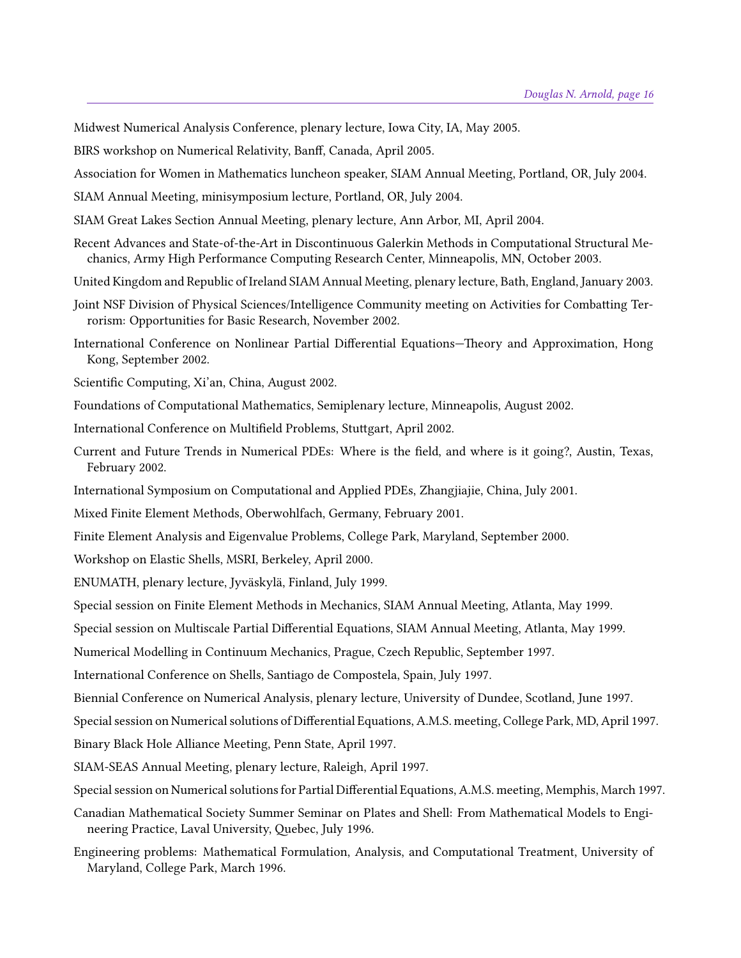Midwest Numerical Analysis Conference, plenary lecture, Iowa City, IA, May 2005.

BIRS workshop on Numerical Relativity, Banff, Canada, April 2005.

Association for Women in Mathematics luncheon speaker, SIAM Annual Meeting, Portland, OR, July 2004.

SIAM Annual Meeting, minisymposium lecture, Portland, OR, July 2004.

SIAM Great Lakes Section Annual Meeting, plenary lecture, Ann Arbor, MI, April 2004.

- Recent Advances and State-of-the-Art in Discontinuous Galerkin Methods in Computational Structural Mechanics, Army High Performance Computing Research Center, Minneapolis, MN, October 2003.
- United Kingdom and Republic of Ireland SIAM Annual Meeting, plenary lecture, Bath, England, January 2003.
- Joint NSF Division of Physical Sciences/Intelligence Community meeting on Activities for Combatting Terrorism: Opportunities for Basic Research, November 2002.
- International Conference on Nonlinear Partial Differential Equations—Theory and Approximation, Hong Kong, September 2002.
- Scientific Computing, Xi'an, China, August 2002.
- Foundations of Computational Mathematics, Semiplenary lecture, Minneapolis, August 2002.
- International Conference on Multifield Problems, Stuttgart, April 2002.
- Current and Future Trends in Numerical PDEs: Where is the field, and where is it going?, Austin, Texas, February 2002.
- International Symposium on Computational and Applied PDEs, Zhangjiajie, China, July 2001.
- Mixed Finite Element Methods, Oberwohlfach, Germany, February 2001.
- Finite Element Analysis and Eigenvalue Problems, College Park, Maryland, September 2000.
- Workshop on Elastic Shells, MSRI, Berkeley, April 2000.
- ENUMATH, plenary lecture, Jyväskylä, Finland, July 1999.

Special session on Finite Element Methods in Mechanics, SIAM Annual Meeting, Atlanta, May 1999.

Special session on Multiscale Partial Differential Equations, SIAM Annual Meeting, Atlanta, May 1999.

Numerical Modelling in Continuum Mechanics, Prague, Czech Republic, September 1997.

International Conference on Shells, Santiago de Compostela, Spain, July 1997.

Biennial Conference on Numerical Analysis, plenary lecture, University of Dundee, Scotland, June 1997.

Special session on Numerical solutions of Differential Equations, A.M.S. meeting, College Park, MD, April 1997.

Binary Black Hole Alliance Meeting, Penn State, April 1997.

- SIAM-SEAS Annual Meeting, plenary lecture, Raleigh, April 1997.
- Special session on Numerical solutions for Partial Differential Equations, A.M.S. meeting, Memphis, March 1997.
- Canadian Mathematical Society Summer Seminar on Plates and Shell: From Mathematical Models to Engineering Practice, Laval University, Quebec, July 1996.
- Engineering problems: Mathematical Formulation, Analysis, and Computational Treatment, University of Maryland, College Park, March 1996.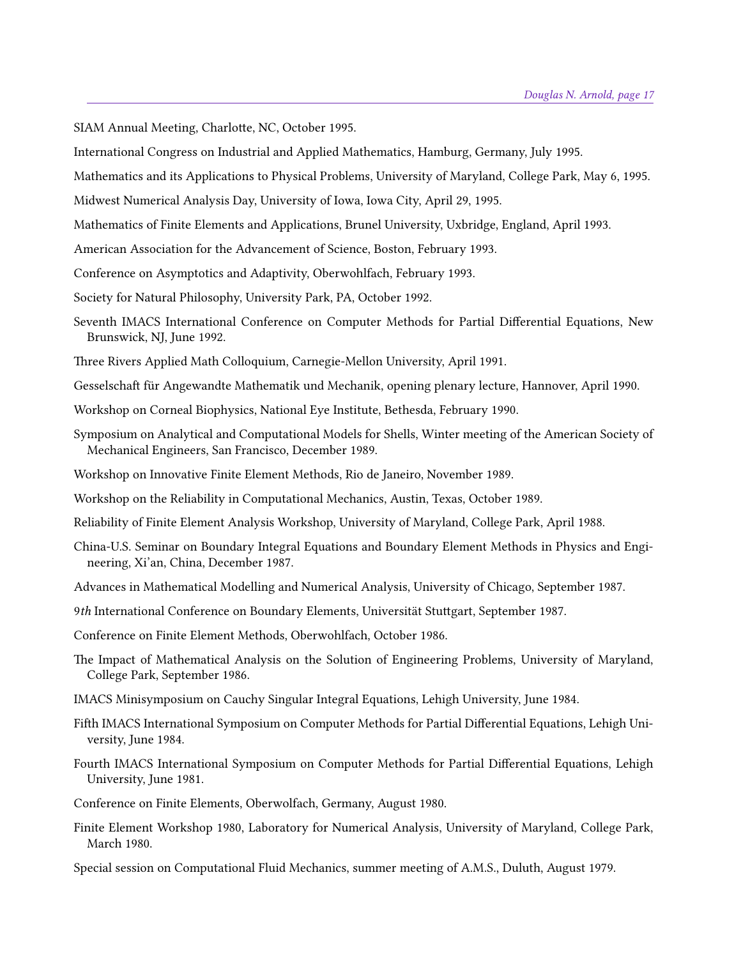SIAM Annual Meeting, Charlotte, NC, October 1995.

International Congress on Industrial and Applied Mathematics, Hamburg, Germany, July 1995.

Mathematics and its Applications to Physical Problems, University of Maryland, College Park, May 6, 1995.

Midwest Numerical Analysis Day, University of Iowa, Iowa City, April 29, 1995.

Mathematics of Finite Elements and Applications, Brunel University, Uxbridge, England, April 1993.

American Association for the Advancement of Science, Boston, February 1993.

Conference on Asymptotics and Adaptivity, Oberwohlfach, February 1993.

- Society for Natural Philosophy, University Park, PA, October 1992.
- Seventh IMACS International Conference on Computer Methods for Partial Differential Equations, New Brunswick, NJ, June 1992.
- Three Rivers Applied Math Colloquium, Carnegie-Mellon University, April 1991.
- Gesselschaft für Angewandte Mathematik und Mechanik, opening plenary lecture, Hannover, April 1990.
- Workshop on Corneal Biophysics, National Eye Institute, Bethesda, February 1990.
- Symposium on Analytical and Computational Models for Shells, Winter meeting of the American Society of Mechanical Engineers, San Francisco, December 1989.
- Workshop on Innovative Finite Element Methods, Rio de Janeiro, November 1989.
- Workshop on the Reliability in Computational Mechanics, Austin, Texas, October 1989.
- Reliability of Finite Element Analysis Workshop, University of Maryland, College Park, April 1988.
- China-U.S. Seminar on Boundary Integral Equations and Boundary Element Methods in Physics and Engineering, Xi'an, China, December 1987.
- Advances in Mathematical Modelling and Numerical Analysis, University of Chicago, September 1987.
- 9th International Conference on Boundary Elements, Universität Stuttgart, September 1987.
- Conference on Finite Element Methods, Oberwohlfach, October 1986.
- e Impact of Mathematical Analysis on the Solution of Engineering Problems, University of Maryland, College Park, September 1986.
- IMACS Minisymposium on Cauchy Singular Integral Equations, Lehigh University, June 1984.
- Fifth IMACS International Symposium on Computer Methods for Partial Differential Equations, Lehigh University, June 1984.
- Fourth IMACS International Symposium on Computer Methods for Partial Differential Equations, Lehigh University, June 1981.
- Conference on Finite Elements, Oberwolfach, Germany, August 1980.
- Finite Element Workshop 1980, Laboratory for Numerical Analysis, University of Maryland, College Park, March 1980.

Special session on Computational Fluid Mechanics, summer meeting of A.M.S., Duluth, August 1979.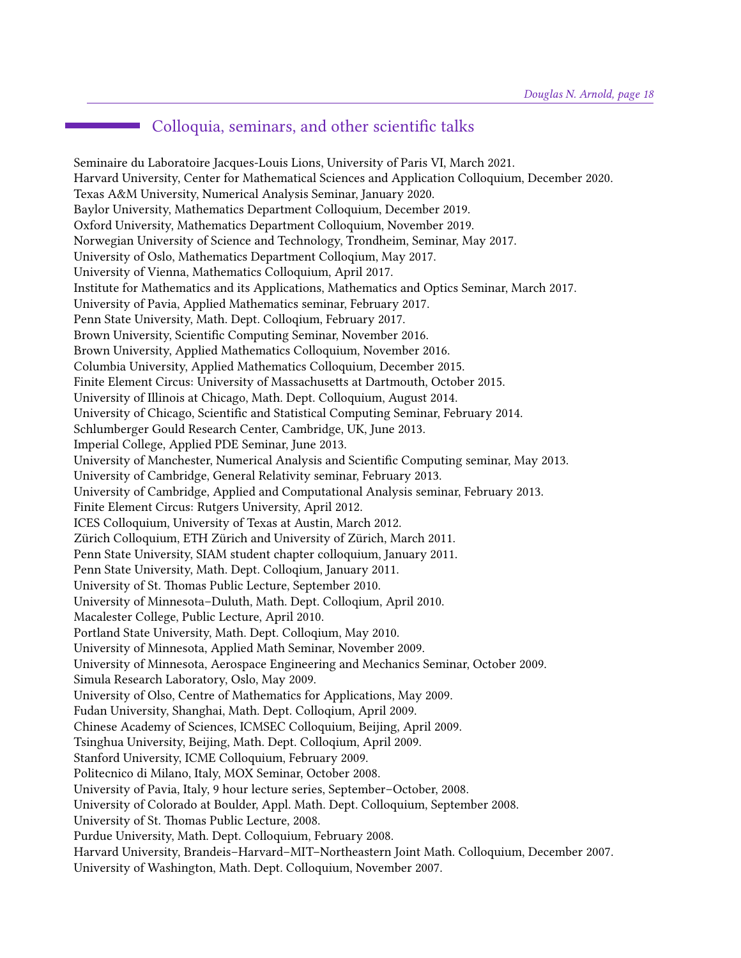## <span id="page-17-0"></span>Colloquia, seminars, and other scientific talks

Seminaire du Laboratoire Jacques-Louis Lions, University of Paris VI, March 2021. Harvard University, Center for Mathematical Sciences and Application Colloquium, December 2020. Texas A&M University, Numerical Analysis Seminar, January 2020. Baylor University, Mathematics Department Colloquium, December 2019. Oxford University, Mathematics Department Colloquium, November 2019. Norwegian University of Science and Technology, Trondheim, Seminar, May 2017. University of Oslo, Mathematics Department Colloqium, May 2017. University of Vienna, Mathematics Colloquium, April 2017. Institute for Mathematics and its Applications, Mathematics and Optics Seminar, March 2017. University of Pavia, Applied Mathematics seminar, February 2017. Penn State University, Math. Dept. Colloqium, February 2017. Brown University, Scientific Computing Seminar, November 2016. Brown University, Applied Mathematics Colloquium, November 2016. Columbia University, Applied Mathematics Colloquium, December 2015. Finite Element Circus: University of Massachusetts at Dartmouth, October 2015. University of Illinois at Chicago, Math. Dept. Colloquium, August 2014. University of Chicago, Scientific and Statistical Computing Seminar, February 2014. Schlumberger Gould Research Center, Cambridge, UK, June 2013. Imperial College, Applied PDE Seminar, June 2013. University of Manchester, Numerical Analysis and Scientific Computing seminar, May 2013. University of Cambridge, General Relativity seminar, February 2013. University of Cambridge, Applied and Computational Analysis seminar, February 2013. Finite Element Circus: Rutgers University, April 2012. ICES Colloquium, University of Texas at Austin, March 2012. Zürich Colloquium, ETH Zürich and University of Zürich, March 2011. Penn State University, SIAM student chapter colloquium, January 2011. Penn State University, Math. Dept. Colloqium, January 2011. University of St. Thomas Public Lecture, September 2010. University of Minnesota–Duluth, Math. Dept. Colloqium, April 2010. Macalester College, Public Lecture, April 2010. Portland State University, Math. Dept. Colloqium, May 2010. University of Minnesota, Applied Math Seminar, November 2009. University of Minnesota, Aerospace Engineering and Mechanics Seminar, October 2009. Simula Research Laboratory, Oslo, May 2009. University of Olso, Centre of Mathematics for Applications, May 2009. Fudan University, Shanghai, Math. Dept. Colloqium, April 2009. Chinese Academy of Sciences, ICMSEC Colloquium, Beijing, April 2009. Tsinghua University, Beijing, Math. Dept. Colloqium, April 2009. Stanford University, ICME Colloquium, February 2009. Politecnico di Milano, Italy, MOX Seminar, October 2008. University of Pavia, Italy, 9 hour lecture series, September–October, 2008. University of Colorado at Boulder, Appl. Math. Dept. Colloquium, September 2008. University of St. Thomas Public Lecture, 2008. Purdue University, Math. Dept. Colloquium, February 2008. Harvard University, Brandeis–Harvard–MIT–Northeastern Joint Math. Colloquium, December 2007. University of Washington, Math. Dept. Colloquium, November 2007.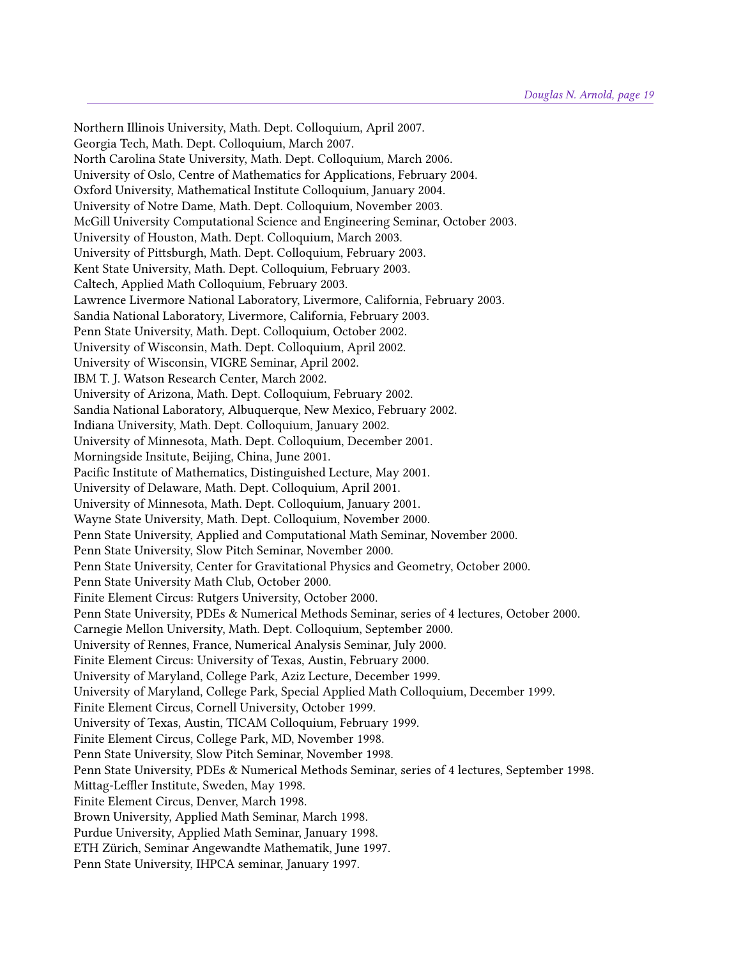Northern Illinois University, Math. Dept. Colloquium, April 2007. Georgia Tech, Math. Dept. Colloquium, March 2007. North Carolina State University, Math. Dept. Colloquium, March 2006. University of Oslo, Centre of Mathematics for Applications, February 2004. Oxford University, Mathematical Institute Colloquium, January 2004. University of Notre Dame, Math. Dept. Colloquium, November 2003. McGill University Computational Science and Engineering Seminar, October 2003. University of Houston, Math. Dept. Colloquium, March 2003. University of Pittsburgh, Math. Dept. Colloquium, February 2003. Kent State University, Math. Dept. Colloquium, February 2003. Caltech, Applied Math Colloquium, February 2003. Lawrence Livermore National Laboratory, Livermore, California, February 2003. Sandia National Laboratory, Livermore, California, February 2003. Penn State University, Math. Dept. Colloquium, October 2002. University of Wisconsin, Math. Dept. Colloquium, April 2002. University of Wisconsin, VIGRE Seminar, April 2002. IBM T. J. Watson Research Center, March 2002. University of Arizona, Math. Dept. Colloquium, February 2002. Sandia National Laboratory, Albuquerque, New Mexico, February 2002. Indiana University, Math. Dept. Colloquium, January 2002. University of Minnesota, Math. Dept. Colloquium, December 2001. Morningside Insitute, Beijing, China, June 2001. Pacific Institute of Mathematics, Distinguished Lecture, May 2001. University of Delaware, Math. Dept. Colloquium, April 2001. University of Minnesota, Math. Dept. Colloquium, January 2001. Wayne State University, Math. Dept. Colloquium, November 2000. Penn State University, Applied and Computational Math Seminar, November 2000. Penn State University, Slow Pitch Seminar, November 2000. Penn State University, Center for Gravitational Physics and Geometry, October 2000. Penn State University Math Club, October 2000. Finite Element Circus: Rutgers University, October 2000. Penn State University, PDEs & Numerical Methods Seminar, series of 4 lectures, October 2000. Carnegie Mellon University, Math. Dept. Colloquium, September 2000. University of Rennes, France, Numerical Analysis Seminar, July 2000. Finite Element Circus: University of Texas, Austin, February 2000. University of Maryland, College Park, Aziz Lecture, December 1999. University of Maryland, College Park, Special Applied Math Colloquium, December 1999. Finite Element Circus, Cornell University, October 1999. University of Texas, Austin, TICAM Colloquium, February 1999. Finite Element Circus, College Park, MD, November 1998. Penn State University, Slow Pitch Seminar, November 1998. Penn State University, PDEs & Numerical Methods Seminar, series of 4 lectures, September 1998. Mittag-Leffler Institute, Sweden, May 1998. Finite Element Circus, Denver, March 1998. Brown University, Applied Math Seminar, March 1998. Purdue University, Applied Math Seminar, January 1998. ETH Zürich, Seminar Angewandte Mathematik, June 1997. Penn State University, IHPCA seminar, January 1997.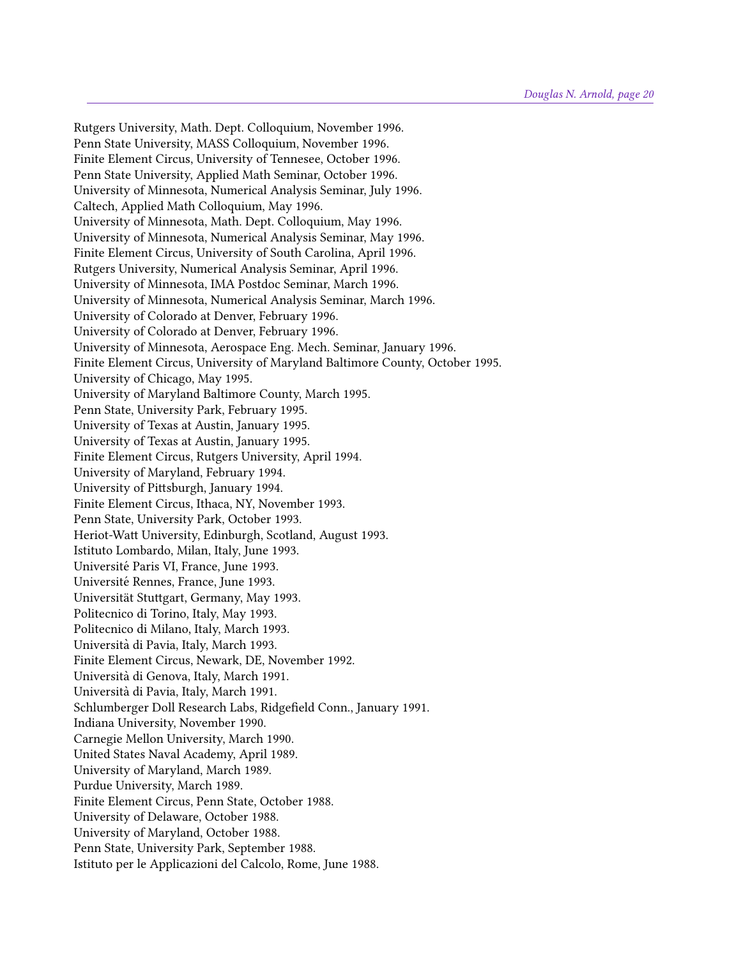Rutgers University, Math. Dept. Colloquium, November 1996. Penn State University, MASS Colloquium, November 1996. Finite Element Circus, University of Tennesee, October 1996. Penn State University, Applied Math Seminar, October 1996. University of Minnesota, Numerical Analysis Seminar, July 1996. Caltech, Applied Math Colloquium, May 1996. University of Minnesota, Math. Dept. Colloquium, May 1996. University of Minnesota, Numerical Analysis Seminar, May 1996. Finite Element Circus, University of South Carolina, April 1996. Rutgers University, Numerical Analysis Seminar, April 1996. University of Minnesota, IMA Postdoc Seminar, March 1996. University of Minnesota, Numerical Analysis Seminar, March 1996. University of Colorado at Denver, February 1996. University of Colorado at Denver, February 1996. University of Minnesota, Aerospace Eng. Mech. Seminar, January 1996. Finite Element Circus, University of Maryland Baltimore County, October 1995. University of Chicago, May 1995. University of Maryland Baltimore County, March 1995. Penn State, University Park, February 1995. University of Texas at Austin, January 1995. University of Texas at Austin, January 1995. Finite Element Circus, Rutgers University, April 1994. University of Maryland, February 1994. University of Pittsburgh, January 1994. Finite Element Circus, Ithaca, NY, November 1993. Penn State, University Park, October 1993. Heriot-Watt University, Edinburgh, Scotland, August 1993. Istituto Lombardo, Milan, Italy, June 1993. Universite Paris VI, France, June 1993. ´ Université Rennes, France, June 1993. Universität Stuttgart, Germany, May 1993. Politecnico di Torino, Italy, May 1993. Politecnico di Milano, Italy, March 1993. Universita di Pavia, Italy, March 1993. ` Finite Element Circus, Newark, DE, November 1992. Universita di Genova, Italy, March 1991. ` Universita di Pavia, Italy, March 1991. ` Schlumberger Doll Research Labs, Ridgefield Conn., January 1991. Indiana University, November 1990. Carnegie Mellon University, March 1990. United States Naval Academy, April 1989. University of Maryland, March 1989. Purdue University, March 1989. Finite Element Circus, Penn State, October 1988. University of Delaware, October 1988. University of Maryland, October 1988. Penn State, University Park, September 1988. Istituto per le Applicazioni del Calcolo, Rome, June 1988.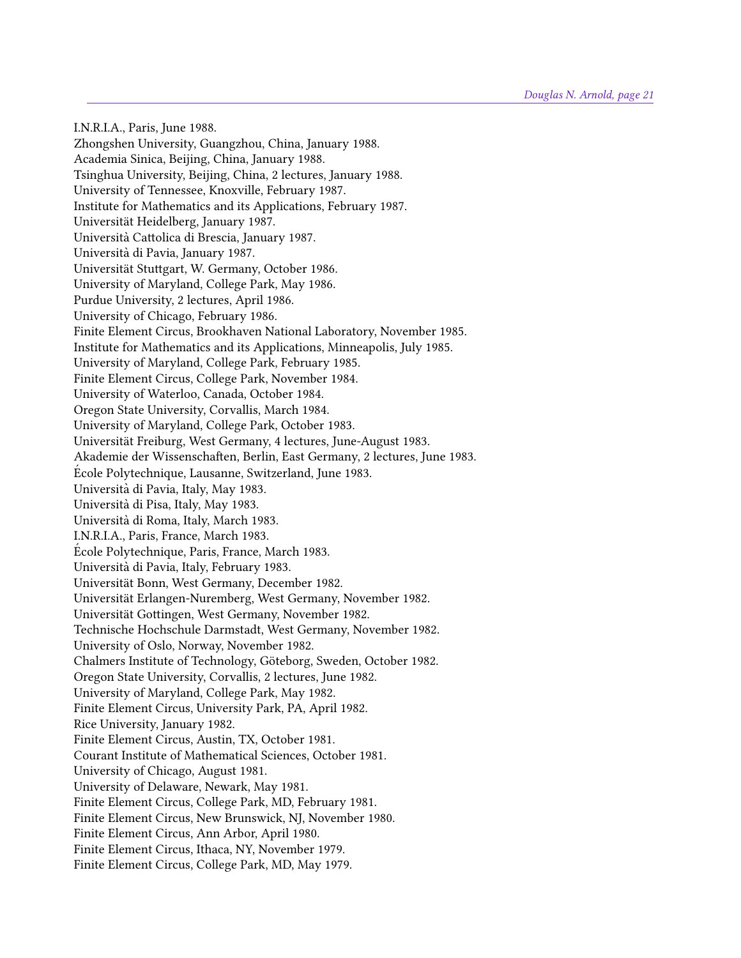I.N.R.I.A., Paris, June 1988. Zhongshen University, Guangzhou, China, January 1988. Academia Sinica, Beijing, China, January 1988. Tsinghua University, Beijing, China, 2 lectures, January 1988. University of Tennessee, Knoxville, February 1987. Institute for Mathematics and its Applications, February 1987. Universitat Heidelberg, January 1987. ¨ Università Cattolica di Brescia, January 1987. Universita di Pavia, January 1987. ` Universität Stuttgart, W. Germany, October 1986. University of Maryland, College Park, May 1986. Purdue University, 2 lectures, April 1986. University of Chicago, February 1986. Finite Element Circus, Brookhaven National Laboratory, November 1985. Institute for Mathematics and its Applications, Minneapolis, July 1985. University of Maryland, College Park, February 1985. Finite Element Circus, College Park, November 1984. University of Waterloo, Canada, October 1984. Oregon State University, Corvallis, March 1984. University of Maryland, College Park, October 1983. Universitat Freiburg, West Germany, 4 lectures, June-August 1983. ¨ Akademie der Wissenschaften, Berlin, East Germany, 2 lectures, June 1983. Ecole Polytechnique, Lausanne, Switzerland, June 1983. ´ Universita di Pavia, Italy, May 1983. ` Universita di Pisa, Italy, May 1983. ` Universita di Roma, Italy, March 1983. ` I.N.R.I.A., Paris, France, March 1983. Ecole Polytechnique, Paris, France, March 1983. ´ Universita di Pavia, Italy, February 1983. ` Universitat Bonn, West Germany, December 1982. ¨ Universitat Erlangen-Nuremberg, West Germany, November 1982. ¨ Universität Gottingen, West Germany, November 1982. Technische Hochschule Darmstadt, West Germany, November 1982. University of Oslo, Norway, November 1982. Chalmers Institute of Technology, Göteborg, Sweden, October 1982. Oregon State University, Corvallis, 2 lectures, June 1982. University of Maryland, College Park, May 1982. Finite Element Circus, University Park, PA, April 1982. Rice University, January 1982. Finite Element Circus, Austin, TX, October 1981. Courant Institute of Mathematical Sciences, October 1981. University of Chicago, August 1981. University of Delaware, Newark, May 1981. Finite Element Circus, College Park, MD, February 1981. Finite Element Circus, New Brunswick, NJ, November 1980. Finite Element Circus, Ann Arbor, April 1980. Finite Element Circus, Ithaca, NY, November 1979. Finite Element Circus, College Park, MD, May 1979.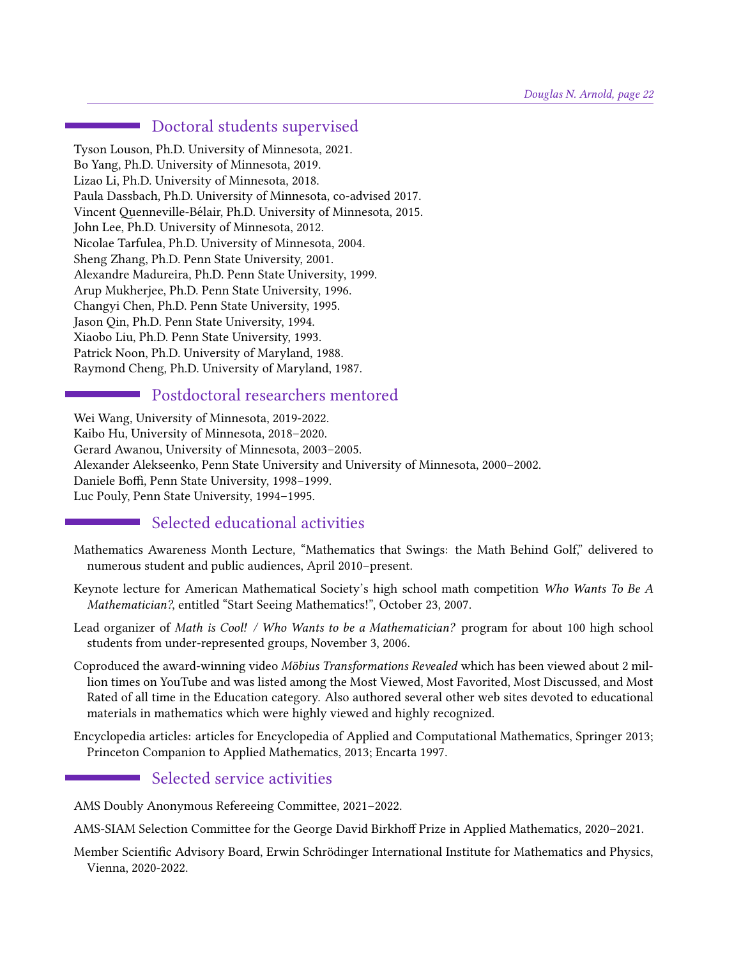## <span id="page-21-0"></span>Doctoral students supervised

Tyson Louson, Ph.D. University of Minnesota, 2021. Bo Yang, Ph.D. University of Minnesota, 2019. Lizao Li, Ph.D. University of Minnesota, 2018. Paula Dassbach, Ph.D. University of Minnesota, co-advised 2017. Vincent Quenneville-Bélair, Ph.D. University of Minnesota, 2015. John Lee, Ph.D. University of Minnesota, 2012. Nicolae Tarfulea, Ph.D. University of Minnesota, 2004. Sheng Zhang, Ph.D. Penn State University, 2001. Alexandre Madureira, Ph.D. Penn State University, 1999. Arup Mukherjee, Ph.D. Penn State University, 1996. Changyi Chen, Ph.D. Penn State University, 1995. Jason Qin, Ph.D. Penn State University, 1994. Xiaobo Liu, Ph.D. Penn State University, 1993. Patrick Noon, Ph.D. University of Maryland, 1988. Raymond Cheng, Ph.D. University of Maryland, 1987.

## <span id="page-21-1"></span>Postdoctoral researchers mentored

Wei Wang, University of Minnesota, 2019-2022. Kaibo Hu, University of Minnesota, 2018–2020. Gerard Awanou, University of Minnesota, 2003–2005. Alexander Alekseenko, Penn State University and University of Minnesota, 2000–2002. Daniele Boffi, Penn State University, 1998-1999. Luc Pouly, Penn State University, 1994–1995.

## <span id="page-21-2"></span>Selected educational activities

- Mathematics Awareness Month Lecture, "Mathematics that Swings: the Math Behind Golf," delivered to numerous student and public audiences, April 2010–present.
- Keynote lecture for American Mathematical Society's high school math competition Who Wants To Be A Mathematician?, entitled "Start Seeing Mathematics!", October 23, 2007.
- Lead organizer of Math is Cool! / Who Wants to be a Mathematician? program for about 100 high school students from under-represented groups, November 3, 2006.
- Coproduced the award-winning video Möbius Transformations Revealed which has been viewed about 2 million times on YouTube and was listed among the Most Viewed, Most Favorited, Most Discussed, and Most Rated of all time in the Education category. Also authored several other web sites devoted to educational materials in mathematics which were highly viewed and highly recognized.
- Encyclopedia articles: articles for Encyclopedia of Applied and Computational Mathematics, Springer 2013; Princeton Companion to Applied Mathematics, 2013; Encarta 1997.

### <span id="page-21-3"></span>Selected service activities

AMS Doubly Anonymous Refereeing Committee, 2021-2022.

AMS-SIAM Selection Committee for the George David Birkhoff Prize in Applied Mathematics, 2020–2021.

Member Scientific Advisory Board, Erwin Schrödinger International Institute for Mathematics and Physics, Vienna, 2020-2022.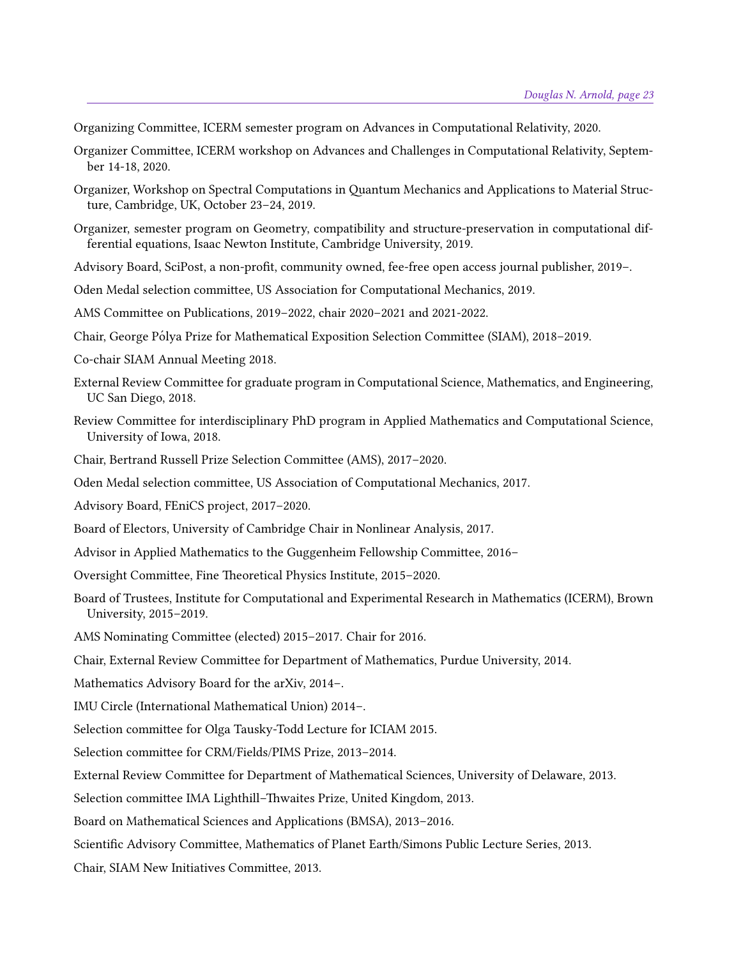Organizing Committee, ICERM semester program on Advances in Computational Relativity, 2020.

- Organizer Committee, ICERM workshop on Advances and Challenges in Computational Relativity, September 14-18, 2020.
- Organizer, Workshop on Spectral Computations in Quantum Mechanics and Applications to Material Structure, Cambridge, UK, October 23–24, 2019.
- Organizer, semester program on Geometry, compatibility and structure-preservation in computational differential equations, Isaac Newton Institute, Cambridge University, 2019.
- Advisory Board, SciPost, a non-profit, community owned, fee-free open access journal publisher, 2019–.
- Oden Medal selection committee, US Association for Computational Mechanics, 2019.
- AMS Committee on Publications, 2019–2022, chair 2020–2021 and 2021-2022.
- Chair, George Pólya Prize for Mathematical Exposition Selection Committee (SIAM), 2018–2019.
- Co-chair SIAM Annual Meeting 2018.
- External Review Committee for graduate program in Computational Science, Mathematics, and Engineering, UC San Diego, 2018.
- Review Committee for interdisciplinary PhD program in Applied Mathematics and Computational Science, University of Iowa, 2018.
- Chair, Bertrand Russell Prize Selection Committee (AMS), 2017-2020.
- Oden Medal selection committee, US Association of Computational Mechanics, 2017.
- Advisory Board, FEniCS project, 2017–2020.
- Board of Electors, University of Cambridge Chair in Nonlinear Analysis, 2017.
- Advisor in Applied Mathematics to the Guggenheim Fellowship Committee, 2016–
- Oversight Committee, Fine Theoretical Physics Institute, 2015-2020.
- Board of Trustees, Institute for Computational and Experimental Research in Mathematics (ICERM), Brown University, 2015–2019.
- AMS Nominating Committee (elected) 2015-2017. Chair for 2016.
- Chair, External Review Committee for Department of Mathematics, Purdue University, 2014.
- Mathematics Advisory Board for the arXiv, 2014–.
- IMU Circle (International Mathematical Union) 2014–.
- Selection committee for Olga Tausky-Todd Lecture for ICIAM 2015.
- Selection committee for CRM/Fields/PIMS Prize, 2013-2014.
- External Review Committee for Department of Mathematical Sciences, University of Delaware, 2013.
- Selection committee IMA Lighthill-Thwaites Prize, United Kingdom, 2013.
- Board on Mathematical Sciences and Applications (BMSA), 2013–2016.
- Scientific Advisory Committee, Mathematics of Planet Earth/Simons Public Lecture Series, 2013.
- Chair, SIAM New Initiatives Committee, 2013.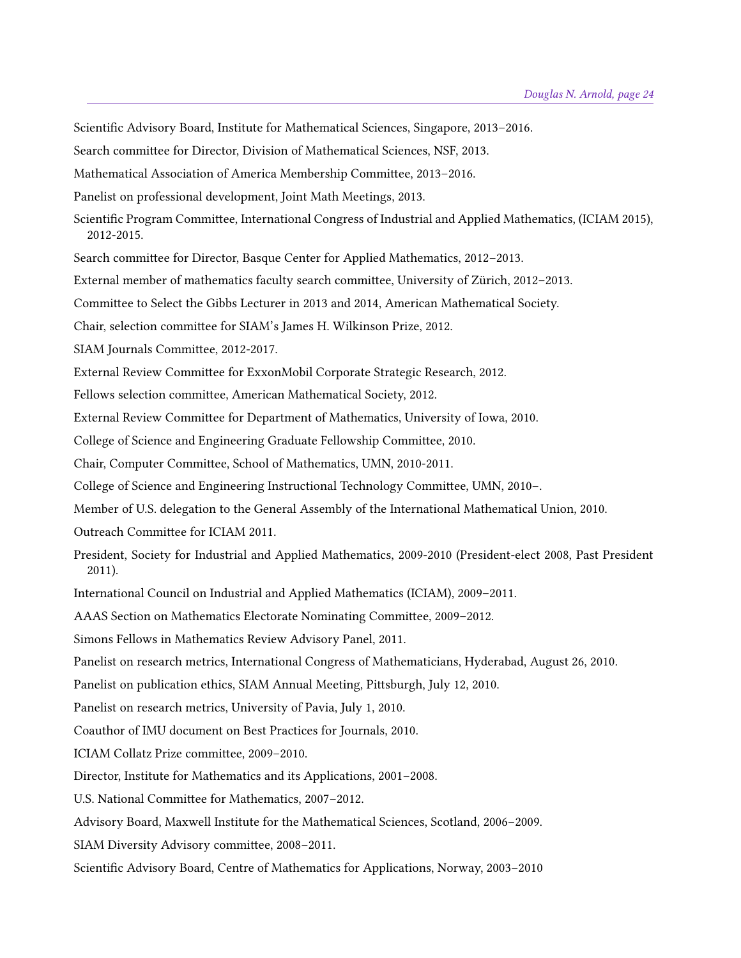Scientific Advisory Board, Institute for Mathematical Sciences, Singapore, 2013–2016.

Search committee for Director, Division of Mathematical Sciences, NSF, 2013.

Mathematical Association of America Membership Committee, 2013-2016.

Panelist on professional development, Joint Math Meetings, 2013.

Scientific Program Committee, International Congress of Industrial and Applied Mathematics, (ICIAM 2015), 2012-2015.

Search committee for Director, Basque Center for Applied Mathematics, 2012–2013.

External member of mathematics faculty search committee, University of Zürich, 2012–2013.

Committee to Select the Gibbs Lecturer in 2013 and 2014, American Mathematical Society.

Chair, selection committee for SIAM's James H. Wilkinson Prize, 2012.

SIAM Journals Committee, 2012-2017.

External Review Committee for ExxonMobil Corporate Strategic Research, 2012.

Fellows selection committee, American Mathematical Society, 2012.

External Review Committee for Department of Mathematics, University of Iowa, 2010.

College of Science and Engineering Graduate Fellowship Committee, 2010.

Chair, Computer Committee, School of Mathematics, UMN, 2010-2011.

College of Science and Engineering Instructional Technology Committee, UMN, 2010–.

Member of U.S. delegation to the General Assembly of the International Mathematical Union, 2010.

Outreach Committee for ICIAM 2011.

President, Society for Industrial and Applied Mathematics, 2009-2010 (President-elect 2008, Past President 2011).

International Council on Industrial and Applied Mathematics (ICIAM), 2009–2011.

AAAS Section on Mathematics Electorate Nominating Committee, 2009–2012.

Simons Fellows in Mathematics Review Advisory Panel, 2011.

Panelist on research metrics, International Congress of Mathematicians, Hyderabad, August 26, 2010.

Panelist on publication ethics, SIAM Annual Meeting, Pittsburgh, July 12, 2010.

Panelist on research metrics, University of Pavia, July 1, 2010.

Coauthor of IMU document on Best Practices for Journals, 2010.

ICIAM Collatz Prize committee, 2009-2010.

Director, Institute for Mathematics and its Applications, 2001–2008.

U.S. National Committee for Mathematics, 2007-2012.

Advisory Board, Maxwell Institute for the Mathematical Sciences, Scotland, 2006–2009.

SIAM Diversity Advisory committee, 2008-2011.

Scientific Advisory Board, Centre of Mathematics for Applications, Norway, 2003–2010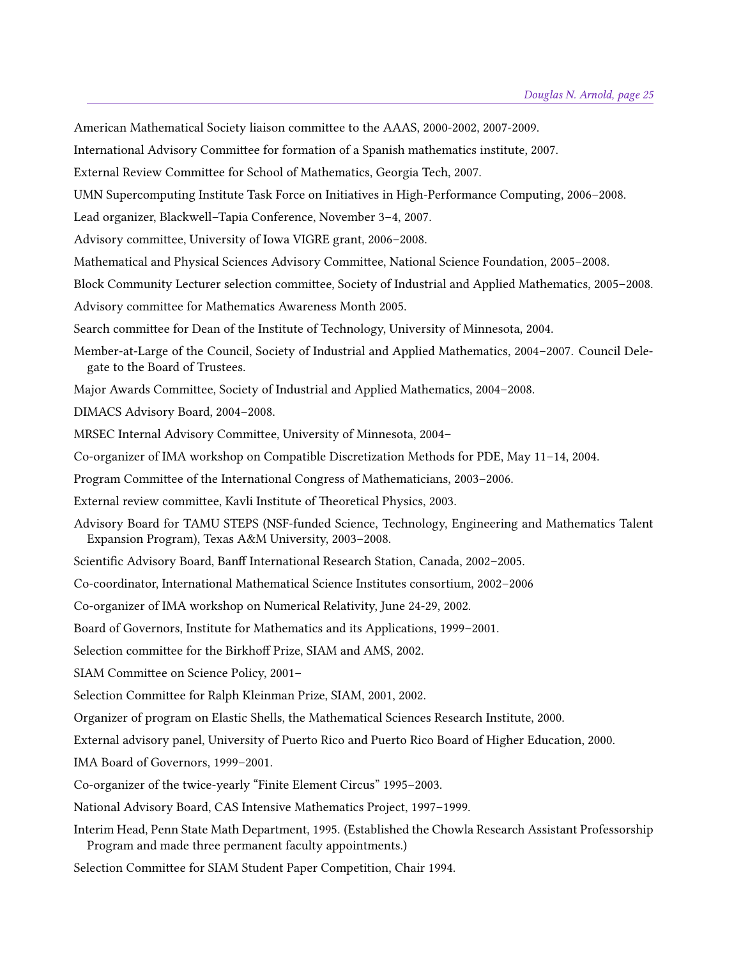American Mathematical Society liaison committee to the AAAS, 2000-2002, 2007-2009.

International Advisory Committee for formation of a Spanish mathematics institute, 2007.

External Review Committee for School of Mathematics, Georgia Tech, 2007.

UMN Supercomputing Institute Task Force on Initiatives in High-Performance Computing, 2006–2008.

Lead organizer, Blackwell–Tapia Conference, November 3–4, 2007.

Advisory committee, University of Iowa VIGRE grant, 2006-2008.

Mathematical and Physical Sciences Advisory Committee, National Science Foundation, 2005–2008.

Block Community Lecturer selection committee, Society of Industrial and Applied Mathematics, 2005–2008.

Advisory committee for Mathematics Awareness Month 2005.

Search committee for Dean of the Institute of Technology, University of Minnesota, 2004.

Member-at-Large of the Council, Society of Industrial and Applied Mathematics, 2004–2007. Council Delegate to the Board of Trustees.

Major Awards Committee, Society of Industrial and Applied Mathematics, 2004–2008.

DIMACS Advisory Board, 2004–2008.

MRSEC Internal Advisory Committee, University of Minnesota, 2004-

Co-organizer of IMA workshop on Compatible Discretization Methods for PDE, May 11–14, 2004.

Program Committee of the International Congress of Mathematicians, 2003-2006.

External review committee, Kavli Institute of Theoretical Physics, 2003.

Advisory Board for TAMU STEPS (NSF-funded Science, Technology, Engineering and Mathematics Talent Expansion Program), Texas A&M University, 2003–2008.

Scientific Advisory Board, Banff International Research Station, Canada, 2002–2005.

Co-coordinator, International Mathematical Science Institutes consortium, 2002–2006

Co-organizer of IMA workshop on Numerical Relativity, June 24-29, 2002.

Board of Governors, Institute for Mathematics and its Applications, 1999–2001.

Selection committee for the Birkhoff Prize, SIAM and AMS, 2002.

SIAM Committee on Science Policy, 2001–

Selection Committee for Ralph Kleinman Prize, SIAM, 2001, 2002.

Organizer of program on Elastic Shells, the Mathematical Sciences Research Institute, 2000.

External advisory panel, University of Puerto Rico and Puerto Rico Board of Higher Education, 2000.

IMA Board of Governors, 1999–2001.

Co-organizer of the twice-yearly "Finite Element Circus" 1995–2003.

National Advisory Board, CAS Intensive Mathematics Project, 1997–1999.

Interim Head, Penn State Math Department, 1995. (Established the Chowla Research Assistant Professorship Program and made three permanent faculty appointments.)

Selection Committee for SIAM Student Paper Competition, Chair 1994.